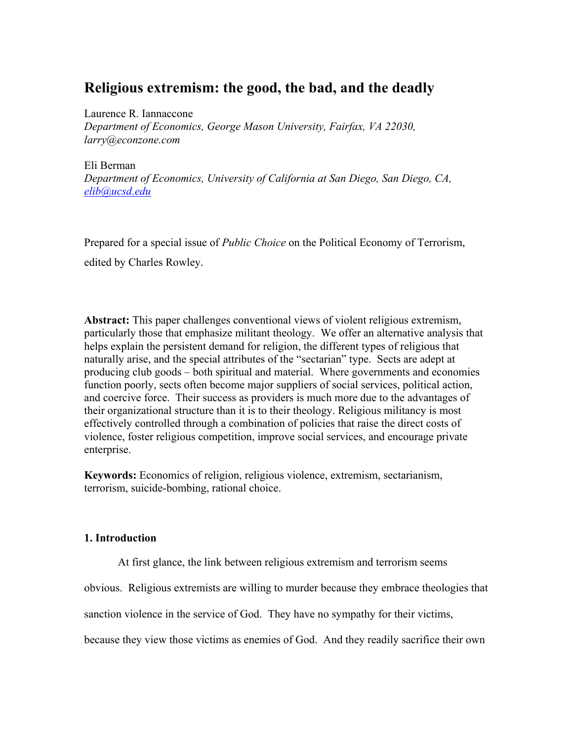# **Religious extremism: the good, the bad, and the deadly**

Laurence R. Iannaccone

*Department of Economics, George Mason University, Fairfax, VA 22030, larry@econzone.com* 

## Eli Berman

*Department of Economics, University of California at San Diego, San Diego, CA, elib@ucsd.edu*

Prepared for a special issue of *Public Choice* on the Political Economy of Terrorism, edited by Charles Rowley.

**Abstract:** This paper challenges conventional views of violent religious extremism, particularly those that emphasize militant theology. We offer an alternative analysis that helps explain the persistent demand for religion, the different types of religious that naturally arise, and the special attributes of the "sectarian" type. Sects are adept at producing club goods – both spiritual and material. Where governments and economies function poorly, sects often become major suppliers of social services, political action, and coercive force. Their success as providers is much more due to the advantages of their organizational structure than it is to their theology. Religious militancy is most effectively controlled through a combination of policies that raise the direct costs of violence, foster religious competition, improve social services, and encourage private enterprise.

**Keywords:** Economics of religion, religious violence, extremism, sectarianism, terrorism, suicide-bombing, rational choice.

# **1. Introduction**

At first glance, the link between religious extremism and terrorism seems

obvious. Religious extremists are willing to murder because they embrace theologies that

sanction violence in the service of God. They have no sympathy for their victims,

because they view those victims as enemies of God. And they readily sacrifice their own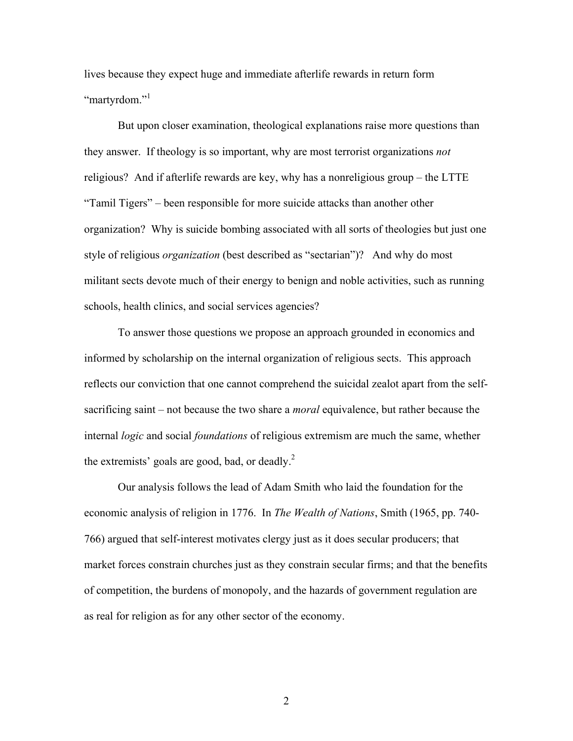lives because they expect huge and immediate afterlife rewards in return form "martyrdom."

But upon closer examination, theological explanations raise more questions than they answer. If theology is so important, why are most terrorist organizations *not* religious? And if afterlife rewards are key, why has a nonreligious group – the LTTE "Tamil Tigers" – been responsible for more suicide attacks than another other organization? Why is suicide bombing associated with all sorts of theologies but just one style of religious *organization* (best described as "sectarian")? And why do most militant sects devote much of their energy to benign and noble activities, such as running schools, health clinics, and social services agencies?

To answer those questions we propose an approach grounded in economics and informed by scholarship on the internal organization of religious sects. This approach reflects our conviction that one cannot comprehend the suicidal zealot apart from the selfsacrificing saint – not because the two share a *moral* equivalence, but rather because the internal *logic* and social *foundations* of religious extremism are much the same, whether the extremists' goals are good, bad, or deadly. $^{2}$ 

Our analysis follows the lead of Adam Smith who laid the foundation for the economic analysis of religion in 1776. In *The Wealth of Nations*, Smith (1965, pp. 740- 766) argued that self-interest motivates clergy just as it does secular producers; that market forces constrain churches just as they constrain secular firms; and that the benefits of competition, the burdens of monopoly, and the hazards of government regulation are as real for religion as for any other sector of the economy.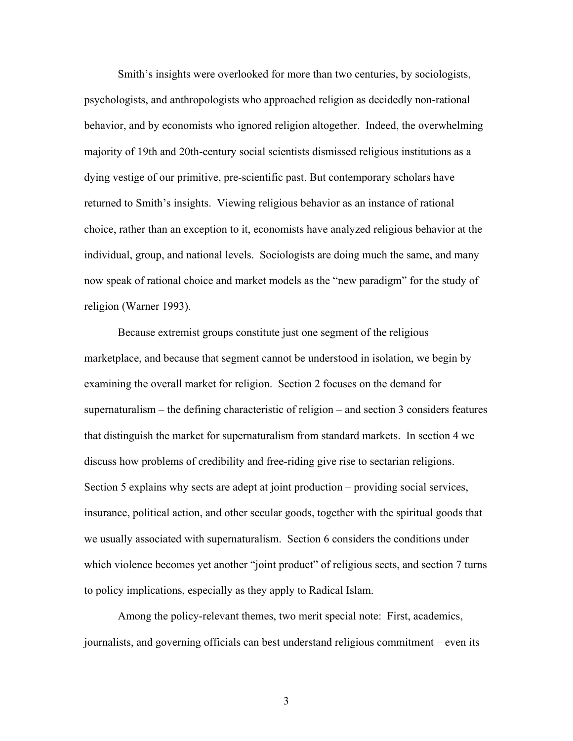Smith's insights were overlooked for more than two centuries, by sociologists, psychologists, and anthropologists who approached religion as decidedly non-rational behavior, and by economists who ignored religion altogether. Indeed, the overwhelming majority of 19th and 20th-century social scientists dismissed religious institutions as a dying vestige of our primitive, pre-scientific past. But contemporary scholars have returned to Smith's insights. Viewing religious behavior as an instance of rational choice, rather than an exception to it, economists have analyzed religious behavior at the individual, group, and national levels. Sociologists are doing much the same, and many now speak of rational choice and market models as the "new paradigm" for the study of religion (Warner 1993).

Because extremist groups constitute just one segment of the religious marketplace, and because that segment cannot be understood in isolation, we begin by examining the overall market for religion. Section 2 focuses on the demand for supernaturalism – the defining characteristic of religion – and section 3 considers features that distinguish the market for supernaturalism from standard markets. In section 4 we discuss how problems of credibility and free-riding give rise to sectarian religions. Section 5 explains why sects are adept at joint production – providing social services, insurance, political action, and other secular goods, together with the spiritual goods that we usually associated with supernaturalism. Section 6 considers the conditions under which violence becomes yet another "joint product" of religious sects, and section 7 turns to policy implications, especially as they apply to Radical Islam.

Among the policy-relevant themes, two merit special note: First, academics, journalists, and governing officials can best understand religious commitment – even its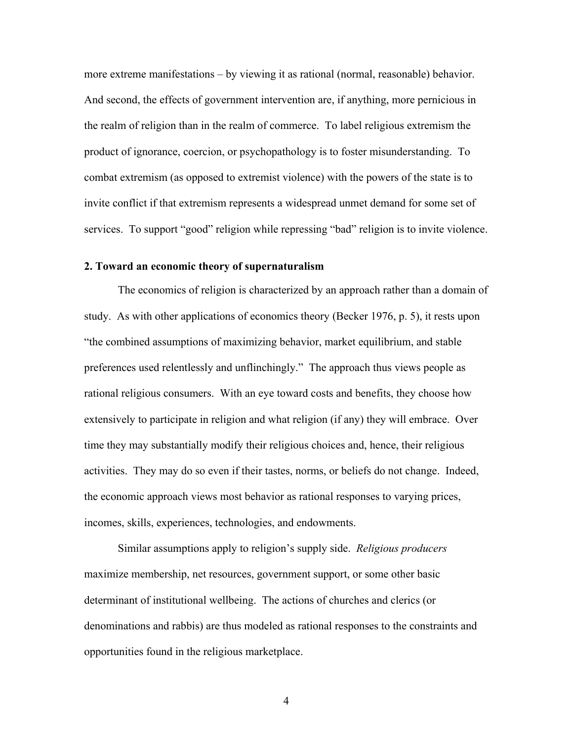more extreme manifestations – by viewing it as rational (normal, reasonable) behavior. And second, the effects of government intervention are, if anything, more pernicious in the realm of religion than in the realm of commerce. To label religious extremism the product of ignorance, coercion, or psychopathology is to foster misunderstanding. To combat extremism (as opposed to extremist violence) with the powers of the state is to invite conflict if that extremism represents a widespread unmet demand for some set of services. To support "good" religion while repressing "bad" religion is to invite violence.

#### **2. Toward an economic theory of supernaturalism**

The economics of religion is characterized by an approach rather than a domain of study. As with other applications of economics theory (Becker 1976, p. 5), it rests upon "the combined assumptions of maximizing behavior, market equilibrium, and stable preferences used relentlessly and unflinchingly." The approach thus views people as rational religious consumers. With an eye toward costs and benefits, they choose how extensively to participate in religion and what religion (if any) they will embrace. Over time they may substantially modify their religious choices and, hence, their religious activities. They may do so even if their tastes, norms, or beliefs do not change. Indeed, the economic approach views most behavior as rational responses to varying prices, incomes, skills, experiences, technologies, and endowments.

Similar assumptions apply to religion's supply side. *Religious producers* maximize membership, net resources, government support, or some other basic determinant of institutional wellbeing. The actions of churches and clerics (or denominations and rabbis) are thus modeled as rational responses to the constraints and opportunities found in the religious marketplace.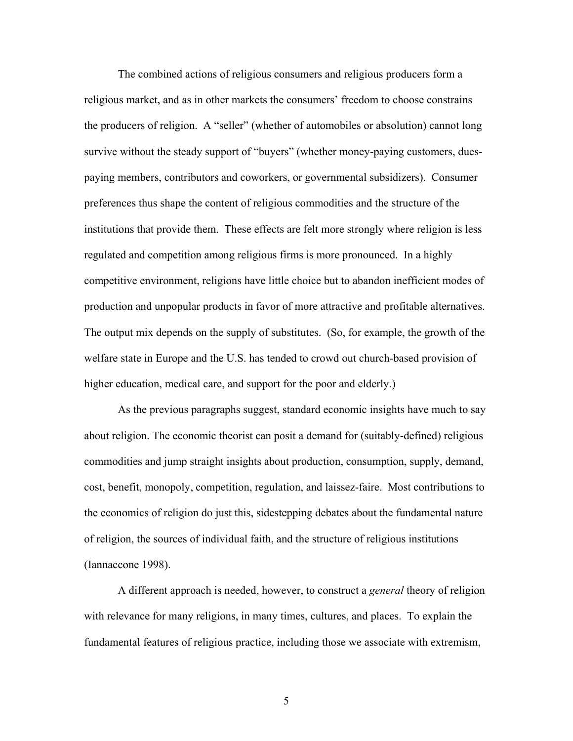The combined actions of religious consumers and religious producers form a religious market, and as in other markets the consumers' freedom to choose constrains the producers of religion. A "seller" (whether of automobiles or absolution) cannot long survive without the steady support of "buyers" (whether money-paying customers, duespaying members, contributors and coworkers, or governmental subsidizers). Consumer preferences thus shape the content of religious commodities and the structure of the institutions that provide them. These effects are felt more strongly where religion is less regulated and competition among religious firms is more pronounced. In a highly competitive environment, religions have little choice but to abandon inefficient modes of production and unpopular products in favor of more attractive and profitable alternatives. The output mix depends on the supply of substitutes. (So, for example, the growth of the welfare state in Europe and the U.S. has tended to crowd out church-based provision of higher education, medical care, and support for the poor and elderly.)

As the previous paragraphs suggest, standard economic insights have much to say about religion. The economic theorist can posit a demand for (suitably-defined) religious commodities and jump straight insights about production, consumption, supply, demand, cost, benefit, monopoly, competition, regulation, and laissez-faire. Most contributions to the economics of religion do just this, sidestepping debates about the fundamental nature of religion, the sources of individual faith, and the structure of religious institutions (Iannaccone 1998).

A different approach is needed, however, to construct a *general* theory of religion with relevance for many religions, in many times, cultures, and places. To explain the fundamental features of religious practice, including those we associate with extremism,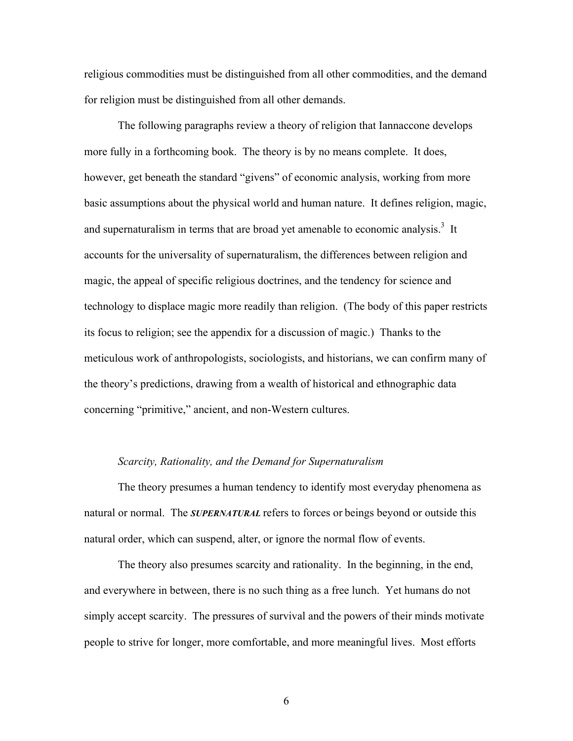religious commodities must be distinguished from all other commodities, and the demand for religion must be distinguished from all other demands.

The following paragraphs review a theory of religion that Iannaccone develops more fully in a forthcoming book. The theory is by no means complete. It does, however, get beneath the standard "givens" of economic analysis, working from more basic assumptions about the physical world and human nature. It defines religion, magic, and supernaturalism in terms that are broad yet amenable to economic analysis.<sup>3</sup> It accounts for the universality of supernaturalism, the differences between religion and magic, the appeal of specific religious doctrines, and the tendency for science and technology to displace magic more readily than religion. (The body of this paper restricts its focus to religion; see the appendix for a discussion of magic.) Thanks to the meticulous work of anthropologists, sociologists, and historians, we can confirm many of the theory's predictions, drawing from a wealth of historical and ethnographic data concerning "primitive," ancient, and non-Western cultures.

#### *Scarcity, Rationality, and the Demand for Supernaturalism*

The theory presumes a human tendency to identify most everyday phenomena as natural or normal. The *SUPERNATURAL* refers to forces or beings beyond or outside this natural order, which can suspend, alter, or ignore the normal flow of events.

The theory also presumes scarcity and rationality. In the beginning, in the end, and everywhere in between, there is no such thing as a free lunch. Yet humans do not simply accept scarcity. The pressures of survival and the powers of their minds motivate people to strive for longer, more comfortable, and more meaningful lives. Most efforts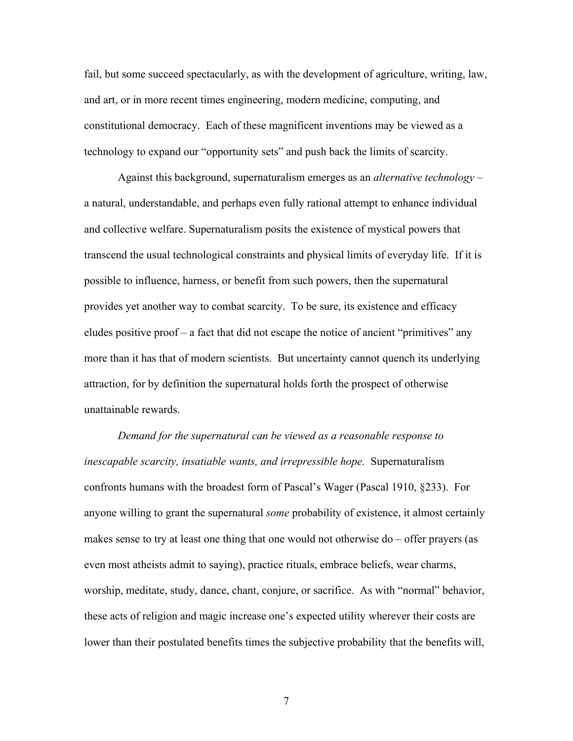fail, but some succeed spectacularly, as with the development of agriculture, writing, law, and art, or in more recent times engineering, modern medicine, computing, and constitutional democracy. Each of these magnificent inventions may be viewed as a technology to expand our "opportunity sets" and push back the limits of scarcity.

Against this background, supernaturalism emerges as an *alternative technology* – a natural, understandable, and perhaps even fully rational attempt to enhance individual and collective welfare. Supernaturalism posits the existence of mystical powers that transcend the usual technological constraints and physical limits of everyday life. If it is possible to influence, harness, or benefit from such powers, then the supernatural provides yet another way to combat scarcity. To be sure, its existence and efficacy eludes positive proof – a fact that did not escape the notice of ancient "primitives" any more than it has that of modern scientists. But uncertainty cannot quench its underlying attraction, for by definition the supernatural holds forth the prospect of otherwise unattainable rewards.

*Demand for the supernatural can be viewed as a reasonable response to inescapable scarcity, insatiable wants, and irrepressible hope.* Supernaturalism confronts humans with the broadest form of Pascal's Wager (Pascal 1910, §233). For anyone willing to grant the supernatural *some* probability of existence, it almost certainly makes sense to try at least one thing that one would not otherwise  $d\sigma$  – offer prayers (as even most atheists admit to saying), practice rituals, embrace beliefs, wear charms, worship, meditate, study, dance, chant, conjure, or sacrifice. As with "normal" behavior, these acts of religion and magic increase one's expected utility wherever their costs are lower than their postulated benefits times the subjective probability that the benefits will,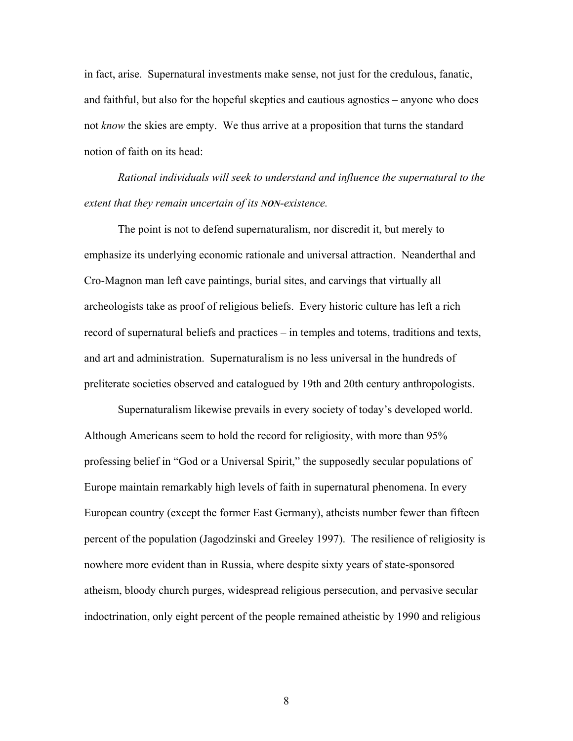in fact, arise. Supernatural investments make sense, not just for the credulous, fanatic, and faithful, but also for the hopeful skeptics and cautious agnostics – anyone who does not *know* the skies are empty. We thus arrive at a proposition that turns the standard notion of faith on its head:

*Rational individuals will seek to understand and influence the supernatural to the extent that they remain uncertain of its NON-existence.* 

The point is not to defend supernaturalism, nor discredit it, but merely to emphasize its underlying economic rationale and universal attraction. Neanderthal and Cro-Magnon man left cave paintings, burial sites, and carvings that virtually all archeologists take as proof of religious beliefs. Every historic culture has left a rich record of supernatural beliefs and practices – in temples and totems, traditions and texts, and art and administration. Supernaturalism is no less universal in the hundreds of preliterate societies observed and catalogued by 19th and 20th century anthropologists.

Supernaturalism likewise prevails in every society of today's developed world. Although Americans seem to hold the record for religiosity, with more than 95% professing belief in "God or a Universal Spirit," the supposedly secular populations of Europe maintain remarkably high levels of faith in supernatural phenomena. In every European country (except the former East Germany), atheists number fewer than fifteen percent of the population (Jagodzinski and Greeley 1997). The resilience of religiosity is nowhere more evident than in Russia, where despite sixty years of state-sponsored atheism, bloody church purges, widespread religious persecution, and pervasive secular indoctrination, only eight percent of the people remained atheistic by 1990 and religious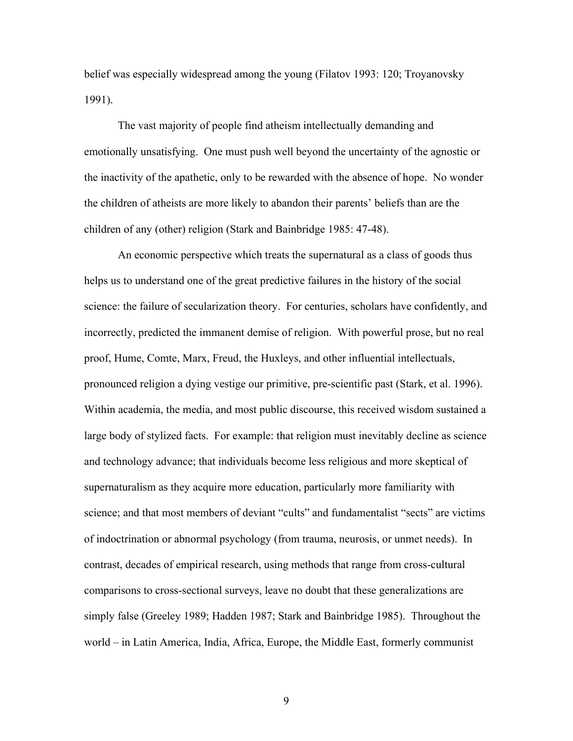belief was especially widespread among the young (Filatov 1993: 120; Troyanovsky 1991).

The vast majority of people find atheism intellectually demanding and emotionally unsatisfying. One must push well beyond the uncertainty of the agnostic or the inactivity of the apathetic, only to be rewarded with the absence of hope. No wonder the children of atheists are more likely to abandon their parents' beliefs than are the children of any (other) religion (Stark and Bainbridge 1985: 47-48).

An economic perspective which treats the supernatural as a class of goods thus helps us to understand one of the great predictive failures in the history of the social science: the failure of secularization theory. For centuries, scholars have confidently, and incorrectly, predicted the immanent demise of religion. With powerful prose, but no real proof, Hume, Comte, Marx, Freud, the Huxleys, and other influential intellectuals, pronounced religion a dying vestige our primitive, pre-scientific past (Stark, et al. 1996). Within academia, the media, and most public discourse, this received wisdom sustained a large body of stylized facts. For example: that religion must inevitably decline as science and technology advance; that individuals become less religious and more skeptical of supernaturalism as they acquire more education, particularly more familiarity with science; and that most members of deviant "cults" and fundamentalist "sects" are victims of indoctrination or abnormal psychology (from trauma, neurosis, or unmet needs). In contrast, decades of empirical research, using methods that range from cross-cultural comparisons to cross-sectional surveys, leave no doubt that these generalizations are simply false (Greeley 1989; Hadden 1987; Stark and Bainbridge 1985). Throughout the world – in Latin America, India, Africa, Europe, the Middle East, formerly communist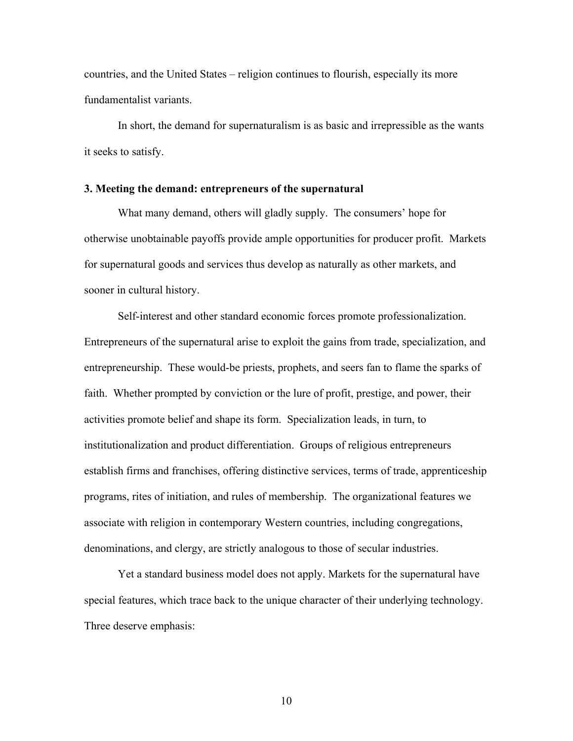countries, and the United States – religion continues to flourish, especially its more fundamentalist variants.

In short, the demand for supernaturalism is as basic and irrepressible as the wants it seeks to satisfy.

#### **3. Meeting the demand: entrepreneurs of the supernatural**

What many demand, others will gladly supply. The consumers' hope for otherwise unobtainable payoffs provide ample opportunities for producer profit. Markets for supernatural goods and services thus develop as naturally as other markets, and sooner in cultural history.

Self-interest and other standard economic forces promote professionalization. Entrepreneurs of the supernatural arise to exploit the gains from trade, specialization, and entrepreneurship. These would-be priests, prophets, and seers fan to flame the sparks of faith. Whether prompted by conviction or the lure of profit, prestige, and power, their activities promote belief and shape its form. Specialization leads, in turn, to institutionalization and product differentiation. Groups of religious entrepreneurs establish firms and franchises, offering distinctive services, terms of trade, apprenticeship programs, rites of initiation, and rules of membership. The organizational features we associate with religion in contemporary Western countries, including congregations, denominations, and clergy, are strictly analogous to those of secular industries.

Yet a standard business model does not apply. Markets for the supernatural have special features, which trace back to the unique character of their underlying technology. Three deserve emphasis: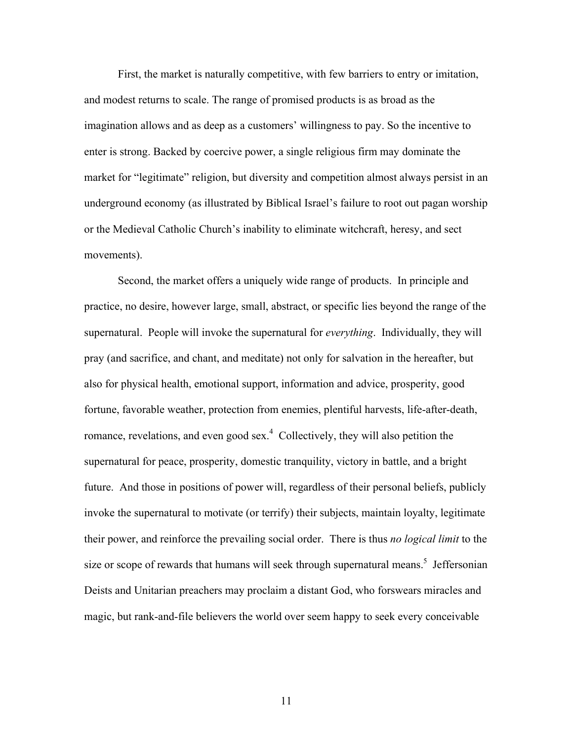First, the market is naturally competitive, with few barriers to entry or imitation, and modest returns to scale. The range of promised products is as broad as the imagination allows and as deep as a customers' willingness to pay. So the incentive to enter is strong. Backed by coercive power, a single religious firm may dominate the market for "legitimate" religion, but diversity and competition almost always persist in an underground economy (as illustrated by Biblical Israel's failure to root out pagan worship or the Medieval Catholic Church's inability to eliminate witchcraft, heresy, and sect movements).

Second, the market offers a uniquely wide range of products. In principle and practice, no desire, however large, small, abstract, or specific lies beyond the range of the supernatural. People will invoke the supernatural for *everything*. Individually, they will pray (and sacrifice, and chant, and meditate) not only for salvation in the hereafter, but also for physical health, emotional support, information and advice, prosperity, good fortune, favorable weather, protection from enemies, plentiful harvests, life-after-death, romance, revelations, and even good sex.<sup>4</sup> Collectively, they will also petition the supernatural for peace, prosperity, domestic tranquility, victory in battle, and a bright future. And those in positions of power will, regardless of their personal beliefs, publicly invoke the supernatural to motivate (or terrify) their subjects, maintain loyalty, legitimate their power, and reinforce the prevailing social order. There is thus *no logical limit* to the size or scope of rewards that humans will seek through supernatural means.<sup>5</sup> Jeffersonian Deists and Unitarian preachers may proclaim a distant God, who forswears miracles and magic, but rank-and-file believers the world over seem happy to seek every conceivable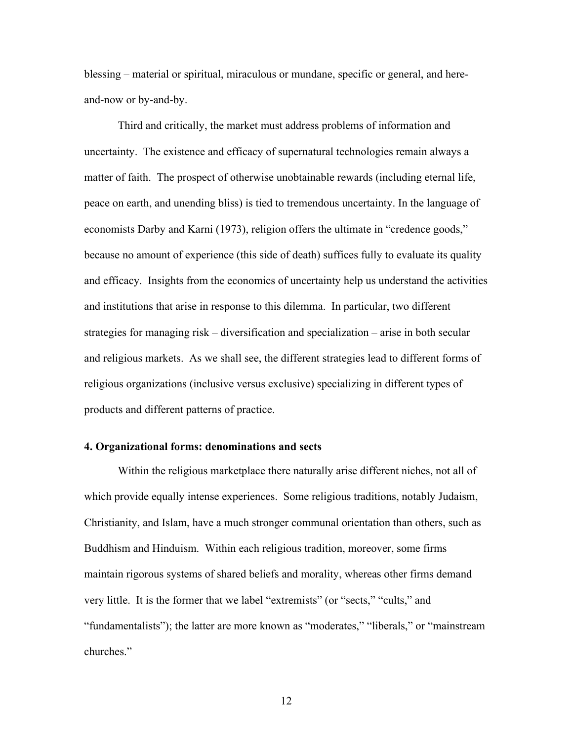blessing – material or spiritual, miraculous or mundane, specific or general, and hereand-now or by-and-by.

Third and critically, the market must address problems of information and uncertainty. The existence and efficacy of supernatural technologies remain always a matter of faith. The prospect of otherwise unobtainable rewards (including eternal life, peace on earth, and unending bliss) is tied to tremendous uncertainty. In the language of economists Darby and Karni (1973), religion offers the ultimate in "credence goods," because no amount of experience (this side of death) suffices fully to evaluate its quality and efficacy. Insights from the economics of uncertainty help us understand the activities and institutions that arise in response to this dilemma. In particular, two different strategies for managing risk – diversification and specialization – arise in both secular and religious markets. As we shall see, the different strategies lead to different forms of religious organizations (inclusive versus exclusive) specializing in different types of products and different patterns of practice.

#### **4. Organizational forms: denominations and sects**

Within the religious marketplace there naturally arise different niches, not all of which provide equally intense experiences. Some religious traditions, notably Judaism, Christianity, and Islam, have a much stronger communal orientation than others, such as Buddhism and Hinduism. Within each religious tradition, moreover, some firms maintain rigorous systems of shared beliefs and morality, whereas other firms demand very little. It is the former that we label "extremists" (or "sects," "cults," and "fundamentalists"); the latter are more known as "moderates," "liberals," or "mainstream churches."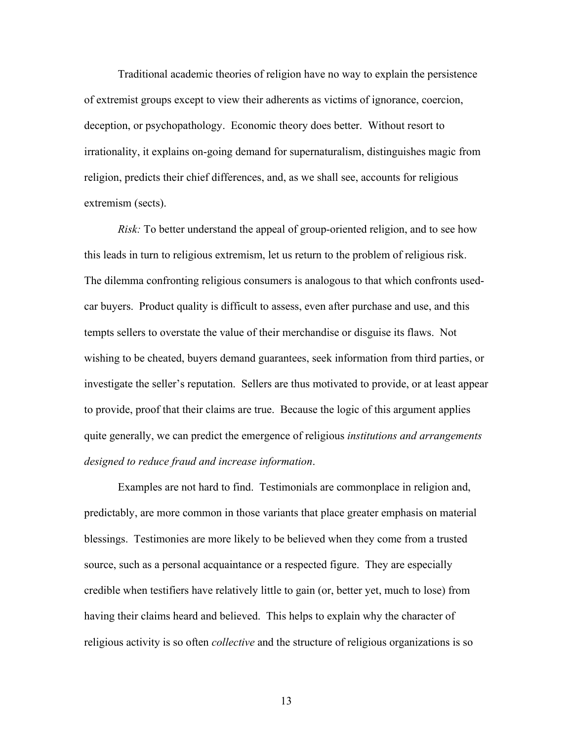Traditional academic theories of religion have no way to explain the persistence of extremist groups except to view their adherents as victims of ignorance, coercion, deception, or psychopathology. Economic theory does better. Without resort to irrationality, it explains on-going demand for supernaturalism, distinguishes magic from religion, predicts their chief differences, and, as we shall see, accounts for religious extremism (sects).

*Risk:* To better understand the appeal of group-oriented religion, and to see how this leads in turn to religious extremism, let us return to the problem of religious risk. The dilemma confronting religious consumers is analogous to that which confronts usedcar buyers. Product quality is difficult to assess, even after purchase and use, and this tempts sellers to overstate the value of their merchandise or disguise its flaws. Not wishing to be cheated, buyers demand guarantees, seek information from third parties, or investigate the seller's reputation. Sellers are thus motivated to provide, or at least appear to provide, proof that their claims are true. Because the logic of this argument applies quite generally, we can predict the emergence of religious *institutions and arrangements designed to reduce fraud and increase information*.

Examples are not hard to find. Testimonials are commonplace in religion and, predictably, are more common in those variants that place greater emphasis on material blessings. Testimonies are more likely to be believed when they come from a trusted source, such as a personal acquaintance or a respected figure. They are especially credible when testifiers have relatively little to gain (or, better yet, much to lose) from having their claims heard and believed. This helps to explain why the character of religious activity is so often *collective* and the structure of religious organizations is so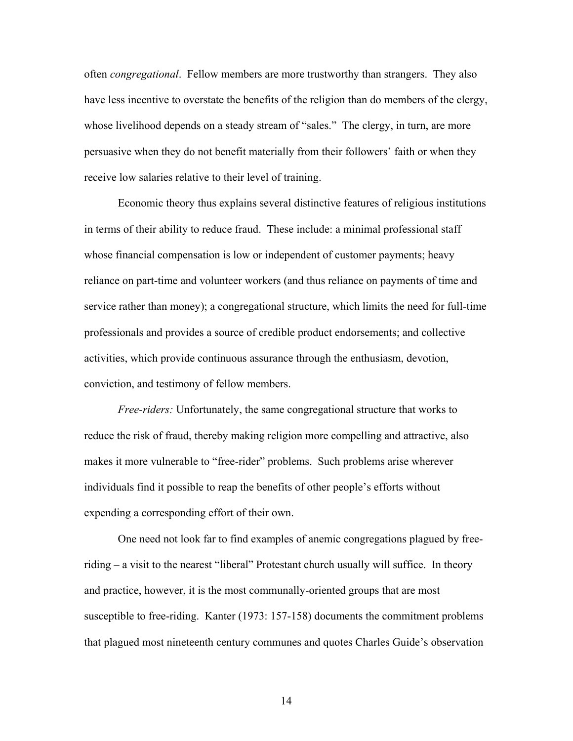often *congregational*. Fellow members are more trustworthy than strangers. They also have less incentive to overstate the benefits of the religion than do members of the clergy, whose livelihood depends on a steady stream of "sales." The clergy, in turn, are more persuasive when they do not benefit materially from their followers' faith or when they receive low salaries relative to their level of training.

Economic theory thus explains several distinctive features of religious institutions in terms of their ability to reduce fraud. These include: a minimal professional staff whose financial compensation is low or independent of customer payments; heavy reliance on part-time and volunteer workers (and thus reliance on payments of time and service rather than money); a congregational structure, which limits the need for full-time professionals and provides a source of credible product endorsements; and collective activities, which provide continuous assurance through the enthusiasm, devotion, conviction, and testimony of fellow members.

*Free-riders:* Unfortunately, the same congregational structure that works to reduce the risk of fraud, thereby making religion more compelling and attractive, also makes it more vulnerable to "free-rider" problems. Such problems arise wherever individuals find it possible to reap the benefits of other people's efforts without expending a corresponding effort of their own.

One need not look far to find examples of anemic congregations plagued by freeriding – a visit to the nearest "liberal" Protestant church usually will suffice. In theory and practice, however, it is the most communally-oriented groups that are most susceptible to free-riding. Kanter (1973: 157-158) documents the commitment problems that plagued most nineteenth century communes and quotes Charles Guide's observation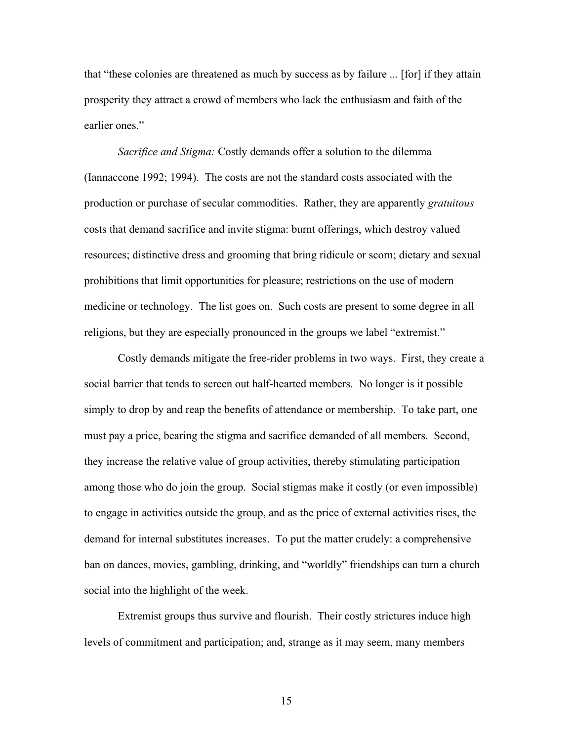that "these colonies are threatened as much by success as by failure ... [for] if they attain prosperity they attract a crowd of members who lack the enthusiasm and faith of the earlier ones."

*Sacrifice and Stigma:* Costly demands offer a solution to the dilemma (Iannaccone 1992; 1994). The costs are not the standard costs associated with the production or purchase of secular commodities. Rather, they are apparently *gratuitous* costs that demand sacrifice and invite stigma: burnt offerings, which destroy valued resources; distinctive dress and grooming that bring ridicule or scorn; dietary and sexual prohibitions that limit opportunities for pleasure; restrictions on the use of modern medicine or technology. The list goes on. Such costs are present to some degree in all religions, but they are especially pronounced in the groups we label "extremist."

Costly demands mitigate the free-rider problems in two ways. First, they create a social barrier that tends to screen out half-hearted members. No longer is it possible simply to drop by and reap the benefits of attendance or membership. To take part, one must pay a price, bearing the stigma and sacrifice demanded of all members. Second, they increase the relative value of group activities, thereby stimulating participation among those who do join the group. Social stigmas make it costly (or even impossible) to engage in activities outside the group, and as the price of external activities rises, the demand for internal substitutes increases. To put the matter crudely: a comprehensive ban on dances, movies, gambling, drinking, and "worldly" friendships can turn a church social into the highlight of the week.

Extremist groups thus survive and flourish. Their costly strictures induce high levels of commitment and participation; and, strange as it may seem, many members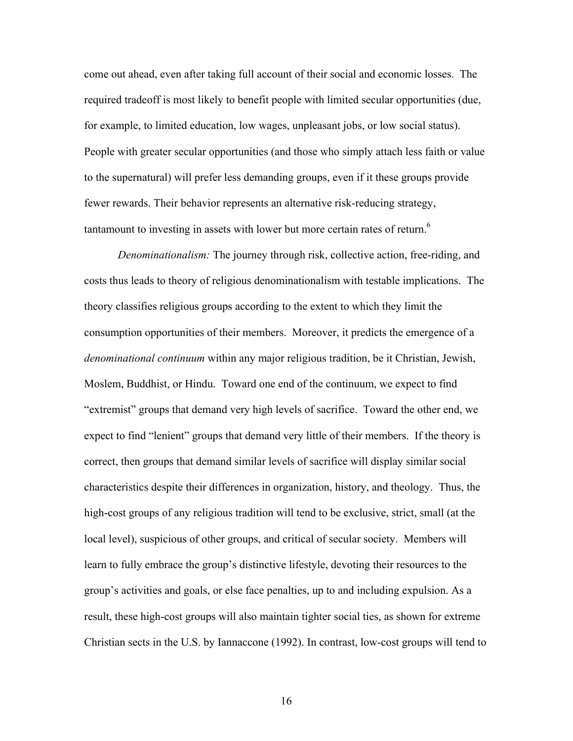come out ahead, even after taking full account of their social and economic losses. The required tradeoff is most likely to benefit people with limited secular opportunities (due, for example, to limited education, low wages, unpleasant jobs, or low social status). People with greater secular opportunities (and those who simply attach less faith or value to the supernatural) will prefer less demanding groups, even if it these groups provide fewer rewards. Their behavior represents an alternative risk-reducing strategy, tantamount to investing in assets with lower but more certain rates of return.<sup>6</sup>

*Denominationalism:* The journey through risk, collective action, free-riding, and costs thus leads to theory of religious denominationalism with testable implications. The theory classifies religious groups according to the extent to which they limit the consumption opportunities of their members. Moreover, it predicts the emergence of a *denominational continuum* within any major religious tradition, be it Christian, Jewish, Moslem, Buddhist, or Hindu. Toward one end of the continuum, we expect to find "extremist" groups that demand very high levels of sacrifice. Toward the other end, we expect to find "lenient" groups that demand very little of their members. If the theory is correct, then groups that demand similar levels of sacrifice will display similar social characteristics despite their differences in organization, history, and theology. Thus, the high-cost groups of any religious tradition will tend to be exclusive, strict, small (at the local level), suspicious of other groups, and critical of secular society. Members will learn to fully embrace the group's distinctive lifestyle, devoting their resources to the group's activities and goals, or else face penalties, up to and including expulsion. As a result, these high-cost groups will also maintain tighter social ties, as shown for extreme Christian sects in the U.S. by Iannaccone (1992). In contrast, low-cost groups will tend to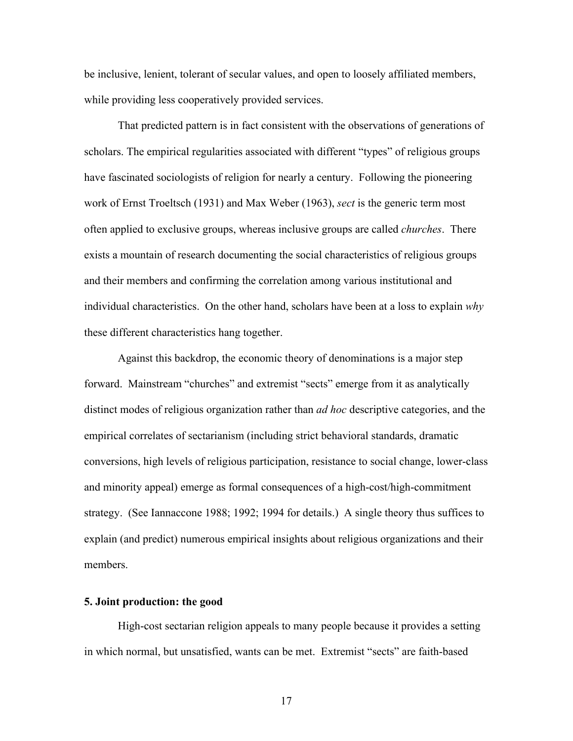be inclusive, lenient, tolerant of secular values, and open to loosely affiliated members, while providing less cooperatively provided services.

That predicted pattern is in fact consistent with the observations of generations of scholars. The empirical regularities associated with different "types" of religious groups have fascinated sociologists of religion for nearly a century. Following the pioneering work of Ernst Troeltsch (1931) and Max Weber (1963), *sect* is the generic term most often applied to exclusive groups, whereas inclusive groups are called *churches*. There exists a mountain of research documenting the social characteristics of religious groups and their members and confirming the correlation among various institutional and individual characteristics. On the other hand, scholars have been at a loss to explain *why* these different characteristics hang together.

Against this backdrop, the economic theory of denominations is a major step forward. Mainstream "churches" and extremist "sects" emerge from it as analytically distinct modes of religious organization rather than *ad hoc* descriptive categories, and the empirical correlates of sectarianism (including strict behavioral standards, dramatic conversions, high levels of religious participation, resistance to social change, lower-class and minority appeal) emerge as formal consequences of a high-cost/high-commitment strategy. (See Iannaccone 1988; 1992; 1994 for details.) A single theory thus suffices to explain (and predict) numerous empirical insights about religious organizations and their members.

### **5. Joint production: the good**

High-cost sectarian religion appeals to many people because it provides a setting in which normal, but unsatisfied, wants can be met. Extremist "sects" are faith-based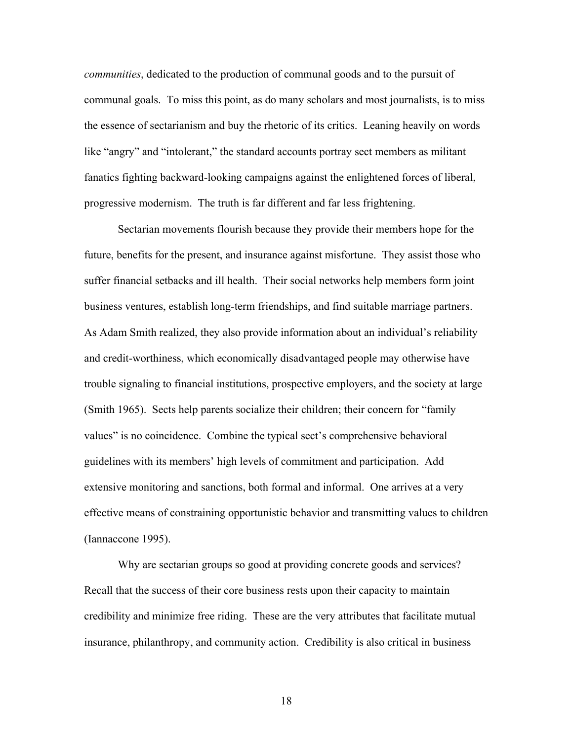*communities*, dedicated to the production of communal goods and to the pursuit of communal goals. To miss this point, as do many scholars and most journalists, is to miss the essence of sectarianism and buy the rhetoric of its critics. Leaning heavily on words like "angry" and "intolerant," the standard accounts portray sect members as militant fanatics fighting backward-looking campaigns against the enlightened forces of liberal, progressive modernism. The truth is far different and far less frightening.

Sectarian movements flourish because they provide their members hope for the future, benefits for the present, and insurance against misfortune. They assist those who suffer financial setbacks and ill health. Their social networks help members form joint business ventures, establish long-term friendships, and find suitable marriage partners. As Adam Smith realized, they also provide information about an individual's reliability and credit-worthiness, which economically disadvantaged people may otherwise have trouble signaling to financial institutions, prospective employers, and the society at large (Smith 1965). Sects help parents socialize their children; their concern for "family values" is no coincidence. Combine the typical sect's comprehensive behavioral guidelines with its members' high levels of commitment and participation. Add extensive monitoring and sanctions, both formal and informal. One arrives at a very effective means of constraining opportunistic behavior and transmitting values to children (Iannaccone 1995).

Why are sectarian groups so good at providing concrete goods and services? Recall that the success of their core business rests upon their capacity to maintain credibility and minimize free riding. These are the very attributes that facilitate mutual insurance, philanthropy, and community action. Credibility is also critical in business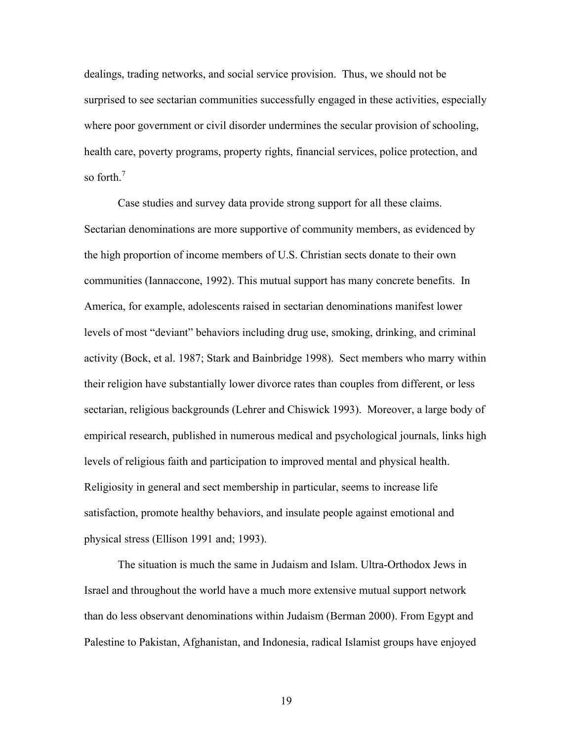dealings, trading networks, and social service provision. Thus, we should not be surprised to see sectarian communities successfully engaged in these activities, especially where poor government or civil disorder undermines the secular provision of schooling, health care, poverty programs, property rights, financial services, police protection, and so forth.<sup>7</sup>

Case studies and survey data provide strong support for all these claims. Sectarian denominations are more supportive of community members, as evidenced by the high proportion of income members of U.S. Christian sects donate to their own communities (Iannaccone, 1992). This mutual support has many concrete benefits. In America, for example, adolescents raised in sectarian denominations manifest lower levels of most "deviant" behaviors including drug use, smoking, drinking, and criminal activity (Bock, et al. 1987; Stark and Bainbridge 1998). Sect members who marry within their religion have substantially lower divorce rates than couples from different, or less sectarian, religious backgrounds (Lehrer and Chiswick 1993). Moreover, a large body of empirical research, published in numerous medical and psychological journals, links high levels of religious faith and participation to improved mental and physical health. Religiosity in general and sect membership in particular, seems to increase life satisfaction, promote healthy behaviors, and insulate people against emotional and physical stress (Ellison 1991 and; 1993).

The situation is much the same in Judaism and Islam. Ultra-Orthodox Jews in Israel and throughout the world have a much more extensive mutual support network than do less observant denominations within Judaism (Berman 2000). From Egypt and Palestine to Pakistan, Afghanistan, and Indonesia, radical Islamist groups have enjoyed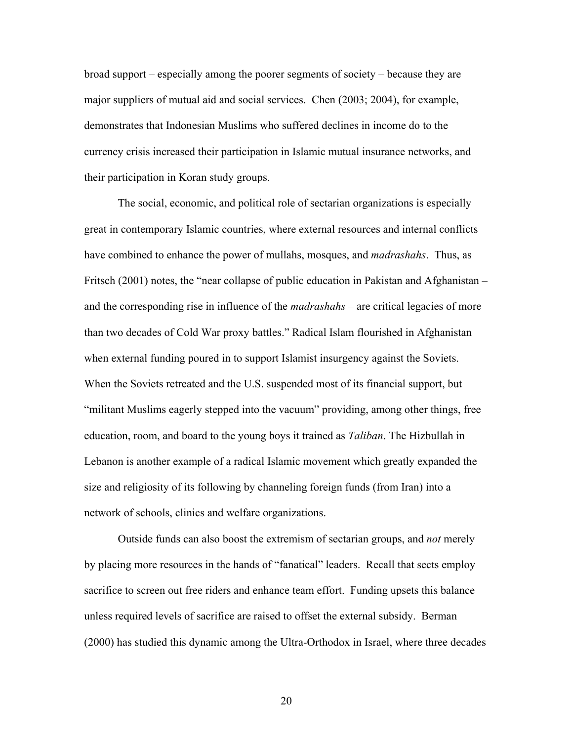broad support – especially among the poorer segments of society – because they are major suppliers of mutual aid and social services. Chen (2003; 2004), for example, demonstrates that Indonesian Muslims who suffered declines in income do to the currency crisis increased their participation in Islamic mutual insurance networks, and their participation in Koran study groups.

The social, economic, and political role of sectarian organizations is especially great in contemporary Islamic countries, where external resources and internal conflicts have combined to enhance the power of mullahs, mosques, and *madrashahs*. Thus, as Fritsch (2001) notes, the "near collapse of public education in Pakistan and Afghanistan – and the corresponding rise in influence of the *madrashahs* – are critical legacies of more than two decades of Cold War proxy battles." Radical Islam flourished in Afghanistan when external funding poured in to support Islamist insurgency against the Soviets. When the Soviets retreated and the U.S. suspended most of its financial support, but "militant Muslims eagerly stepped into the vacuum" providing, among other things, free education, room, and board to the young boys it trained as *Taliban*. The Hizbullah in Lebanon is another example of a radical Islamic movement which greatly expanded the size and religiosity of its following by channeling foreign funds (from Iran) into a network of schools, clinics and welfare organizations.

Outside funds can also boost the extremism of sectarian groups, and *not* merely by placing more resources in the hands of "fanatical" leaders. Recall that sects employ sacrifice to screen out free riders and enhance team effort. Funding upsets this balance unless required levels of sacrifice are raised to offset the external subsidy. Berman (2000) has studied this dynamic among the Ultra-Orthodox in Israel, where three decades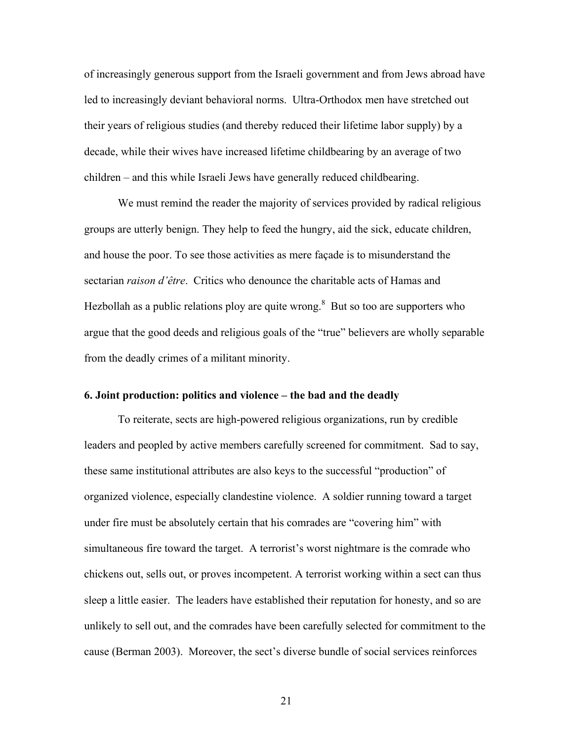of increasingly generous support from the Israeli government and from Jews abroad have led to increasingly deviant behavioral norms. Ultra-Orthodox men have stretched out their years of religious studies (and thereby reduced their lifetime labor supply) by a decade, while their wives have increased lifetime childbearing by an average of two children – and this while Israeli Jews have generally reduced childbearing.

We must remind the reader the majority of services provided by radical religious groups are utterly benign. They help to feed the hungry, aid the sick, educate children, and house the poor. To see those activities as mere façade is to misunderstand the sectarian *raison d'être*. Critics who denounce the charitable acts of Hamas and Hezbollah as a public relations ploy are quite wrong.<sup>8</sup> But so too are supporters who argue that the good deeds and religious goals of the "true" believers are wholly separable from the deadly crimes of a militant minority.

#### **6. Joint production: politics and violence – the bad and the deadly**

To reiterate, sects are high-powered religious organizations, run by credible leaders and peopled by active members carefully screened for commitment. Sad to say, these same institutional attributes are also keys to the successful "production" of organized violence, especially clandestine violence. A soldier running toward a target under fire must be absolutely certain that his comrades are "covering him" with simultaneous fire toward the target. A terrorist's worst nightmare is the comrade who chickens out, sells out, or proves incompetent. A terrorist working within a sect can thus sleep a little easier. The leaders have established their reputation for honesty, and so are unlikely to sell out, and the comrades have been carefully selected for commitment to the cause (Berman 2003). Moreover, the sect's diverse bundle of social services reinforces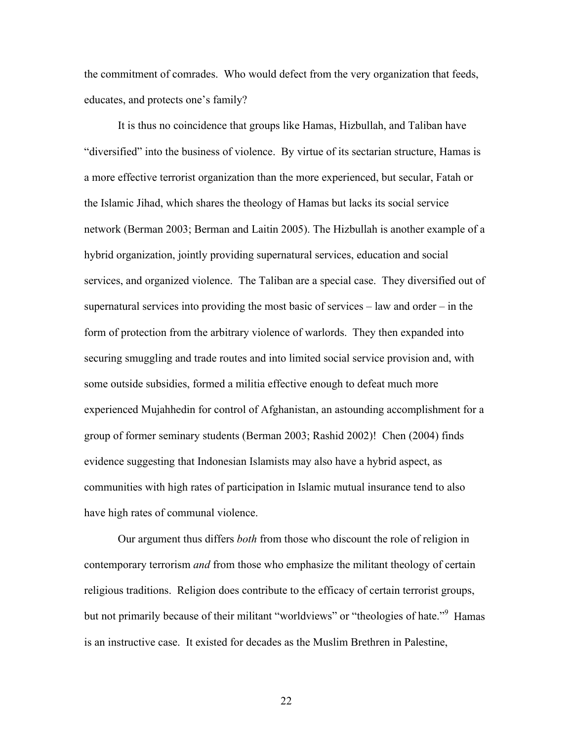the commitment of comrades. Who would defect from the very organization that feeds, educates, and protects one's family?

It is thus no coincidence that groups like Hamas, Hizbullah, and Taliban have "diversified" into the business of violence. By virtue of its sectarian structure, Hamas is a more effective terrorist organization than the more experienced, but secular, Fatah or the Islamic Jihad, which shares the theology of Hamas but lacks its social service network (Berman 2003; Berman and Laitin 2005). The Hizbullah is another example of a hybrid organization, jointly providing supernatural services, education and social services, and organized violence. The Taliban are a special case. They diversified out of supernatural services into providing the most basic of services – law and order – in the form of protection from the arbitrary violence of warlords. They then expanded into securing smuggling and trade routes and into limited social service provision and, with some outside subsidies, formed a militia effective enough to defeat much more experienced Mujahhedin for control of Afghanistan, an astounding accomplishment for a group of former seminary students (Berman 2003; Rashid 2002)! Chen (2004) finds evidence suggesting that Indonesian Islamists may also have a hybrid aspect, as communities with high rates of participation in Islamic mutual insurance tend to also have high rates of communal violence.

Our argument thus differs *both* from those who discount the role of religion in contemporary terrorism *and* from those who emphasize the militant theology of certain religious traditions. Religion does contribute to the efficacy of certain terrorist groups, but not primarily because of their militant "worldviews" or "theologies of hate."<sup>9</sup> Hamas is an instructive case. It existed for decades as the Muslim Brethren in Palestine,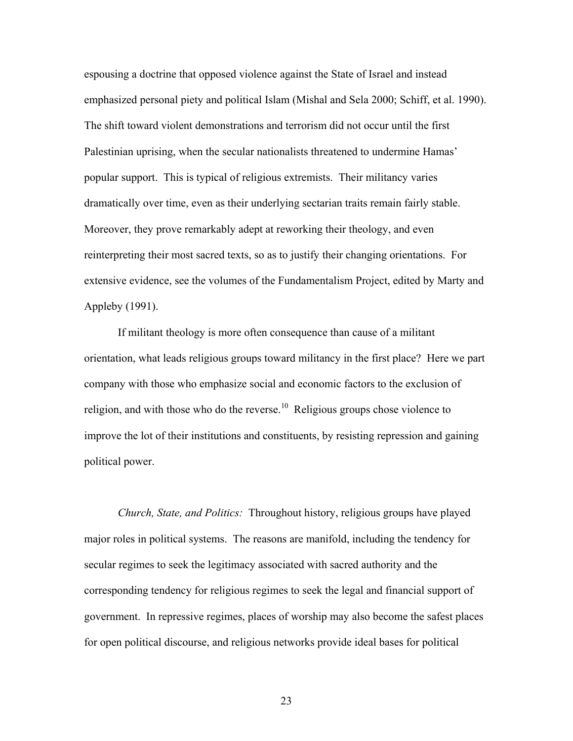espousing a doctrine that opposed violence against the State of Israel and instead emphasized personal piety and political Islam (Mishal and Sela 2000; Schiff, et al. 1990). The shift toward violent demonstrations and terrorism did not occur until the first Palestinian uprising, when the secular nationalists threatened to undermine Hamas' popular support. This is typical of religious extremists. Their militancy varies dramatically over time, even as their underlying sectarian traits remain fairly stable. Moreover, they prove remarkably adept at reworking their theology, and even reinterpreting their most sacred texts, so as to justify their changing orientations. For extensive evidence, see the volumes of the Fundamentalism Project, edited by Marty and Appleby (1991).

 If militant theology is more often consequence than cause of a militant orientation, what leads religious groups toward militancy in the first place? Here we part company with those who emphasize social and economic factors to the exclusion of religion, and with those who do the reverse.<sup>10</sup> Religious groups chose violence to improve the lot of their institutions and constituents, by resisting repression and gaining political power.

*Church, State, and Politics:* Throughout history, religious groups have played major roles in political systems. The reasons are manifold, including the tendency for secular regimes to seek the legitimacy associated with sacred authority and the corresponding tendency for religious regimes to seek the legal and financial support of government. In repressive regimes, places of worship may also become the safest places for open political discourse, and religious networks provide ideal bases for political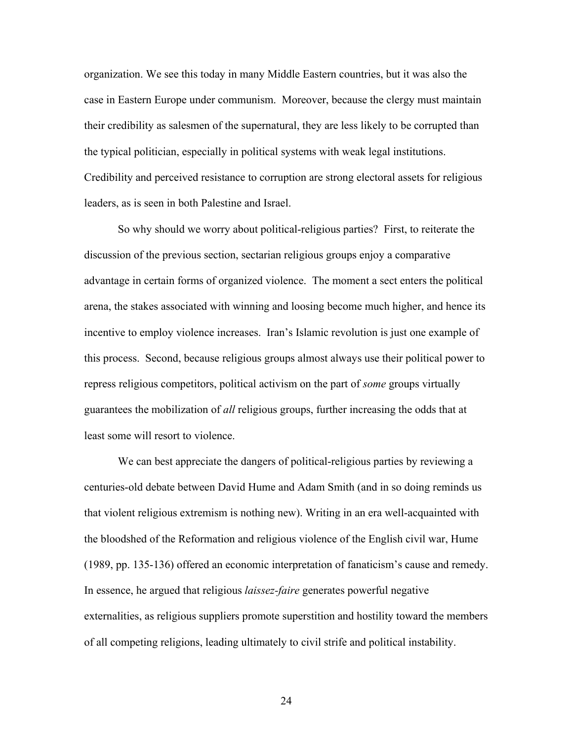organization. We see this today in many Middle Eastern countries, but it was also the case in Eastern Europe under communism. Moreover, because the clergy must maintain their credibility as salesmen of the supernatural, they are less likely to be corrupted than the typical politician, especially in political systems with weak legal institutions. Credibility and perceived resistance to corruption are strong electoral assets for religious leaders, as is seen in both Palestine and Israel.

So why should we worry about political-religious parties? First, to reiterate the discussion of the previous section, sectarian religious groups enjoy a comparative advantage in certain forms of organized violence. The moment a sect enters the political arena, the stakes associated with winning and loosing become much higher, and hence its incentive to employ violence increases. Iran's Islamic revolution is just one example of this process. Second, because religious groups almost always use their political power to repress religious competitors, political activism on the part of *some* groups virtually guarantees the mobilization of *all* religious groups, further increasing the odds that at least some will resort to violence.

We can best appreciate the dangers of political-religious parties by reviewing a centuries-old debate between David Hume and Adam Smith (and in so doing reminds us that violent religious extremism is nothing new). Writing in an era well-acquainted with the bloodshed of the Reformation and religious violence of the English civil war, Hume (1989, pp. 135-136) offered an economic interpretation of fanaticism's cause and remedy. In essence, he argued that religious *laissez-faire* generates powerful negative externalities, as religious suppliers promote superstition and hostility toward the members of all competing religions, leading ultimately to civil strife and political instability.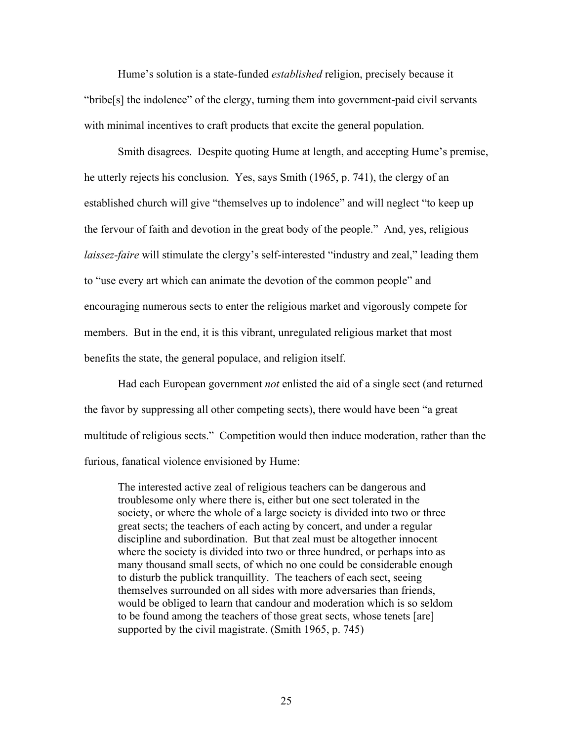Hume's solution is a state-funded *established* religion, precisely because it "bribe[s] the indolence" of the clergy, turning them into government-paid civil servants with minimal incentives to craft products that excite the general population.

Smith disagrees. Despite quoting Hume at length, and accepting Hume's premise, he utterly rejects his conclusion. Yes, says Smith (1965, p. 741), the clergy of an established church will give "themselves up to indolence" and will neglect "to keep up the fervour of faith and devotion in the great body of the people." And, yes, religious *laissez-faire* will stimulate the clergy's self-interested "industry and zeal," leading them to "use every art which can animate the devotion of the common people" and encouraging numerous sects to enter the religious market and vigorously compete for members. But in the end, it is this vibrant, unregulated religious market that most benefits the state, the general populace, and religion itself.

Had each European government *not* enlisted the aid of a single sect (and returned the favor by suppressing all other competing sects), there would have been "a great multitude of religious sects." Competition would then induce moderation, rather than the furious, fanatical violence envisioned by Hume:

The interested active zeal of religious teachers can be dangerous and troublesome only where there is, either but one sect tolerated in the society, or where the whole of a large society is divided into two or three great sects; the teachers of each acting by concert, and under a regular discipline and subordination. But that zeal must be altogether innocent where the society is divided into two or three hundred, or perhaps into as many thousand small sects, of which no one could be considerable enough to disturb the publick tranquillity. The teachers of each sect, seeing themselves surrounded on all sides with more adversaries than friends, would be obliged to learn that candour and moderation which is so seldom to be found among the teachers of those great sects, whose tenets [are] supported by the civil magistrate. (Smith 1965, p. 745)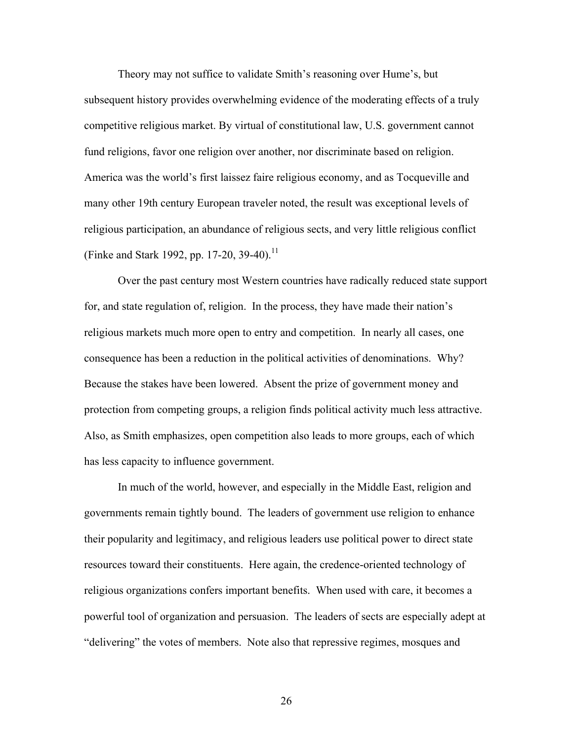Theory may not suffice to validate Smith's reasoning over Hume's, but subsequent history provides overwhelming evidence of the moderating effects of a truly competitive religious market. By virtual of constitutional law, U.S. government cannot fund religions, favor one religion over another, nor discriminate based on religion. America was the world's first laissez faire religious economy, and as Tocqueville and many other 19th century European traveler noted, the result was exceptional levels of religious participation, an abundance of religious sects, and very little religious conflict (Finke and Stark 1992, pp. 17-20, 39-40).<sup>11</sup>

Over the past century most Western countries have radically reduced state support for, and state regulation of, religion. In the process, they have made their nation's religious markets much more open to entry and competition. In nearly all cases, one consequence has been a reduction in the political activities of denominations. Why? Because the stakes have been lowered. Absent the prize of government money and protection from competing groups, a religion finds political activity much less attractive. Also, as Smith emphasizes, open competition also leads to more groups, each of which has less capacity to influence government.

In much of the world, however, and especially in the Middle East, religion and governments remain tightly bound. The leaders of government use religion to enhance their popularity and legitimacy, and religious leaders use political power to direct state resources toward their constituents. Here again, the credence-oriented technology of religious organizations confers important benefits. When used with care, it becomes a powerful tool of organization and persuasion. The leaders of sects are especially adept at "delivering" the votes of members. Note also that repressive regimes, mosques and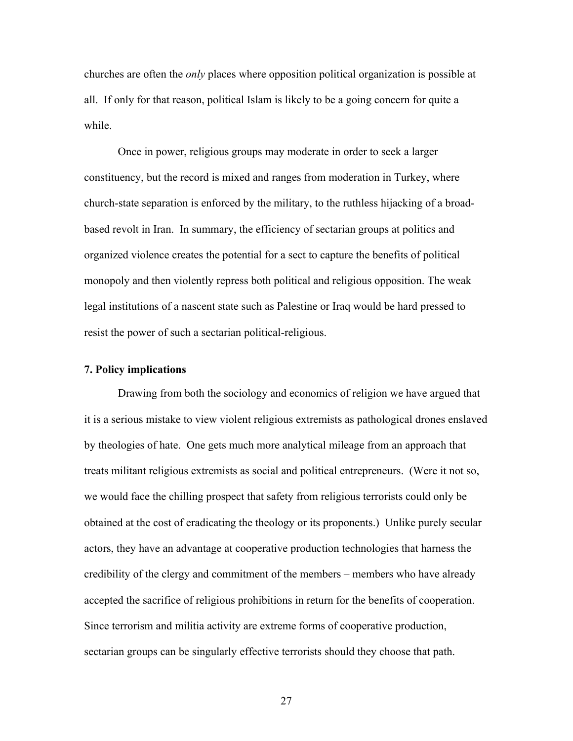churches are often the *only* places where opposition political organization is possible at all. If only for that reason, political Islam is likely to be a going concern for quite a while.

Once in power, religious groups may moderate in order to seek a larger constituency, but the record is mixed and ranges from moderation in Turkey, where church-state separation is enforced by the military, to the ruthless hijacking of a broadbased revolt in Iran. In summary, the efficiency of sectarian groups at politics and organized violence creates the potential for a sect to capture the benefits of political monopoly and then violently repress both political and religious opposition. The weak legal institutions of a nascent state such as Palestine or Iraq would be hard pressed to resist the power of such a sectarian political-religious.

#### **7. Policy implications**

Drawing from both the sociology and economics of religion we have argued that it is a serious mistake to view violent religious extremists as pathological drones enslaved by theologies of hate. One gets much more analytical mileage from an approach that treats militant religious extremists as social and political entrepreneurs. (Were it not so, we would face the chilling prospect that safety from religious terrorists could only be obtained at the cost of eradicating the theology or its proponents.) Unlike purely secular actors, they have an advantage at cooperative production technologies that harness the credibility of the clergy and commitment of the members – members who have already accepted the sacrifice of religious prohibitions in return for the benefits of cooperation. Since terrorism and militia activity are extreme forms of cooperative production, sectarian groups can be singularly effective terrorists should they choose that path.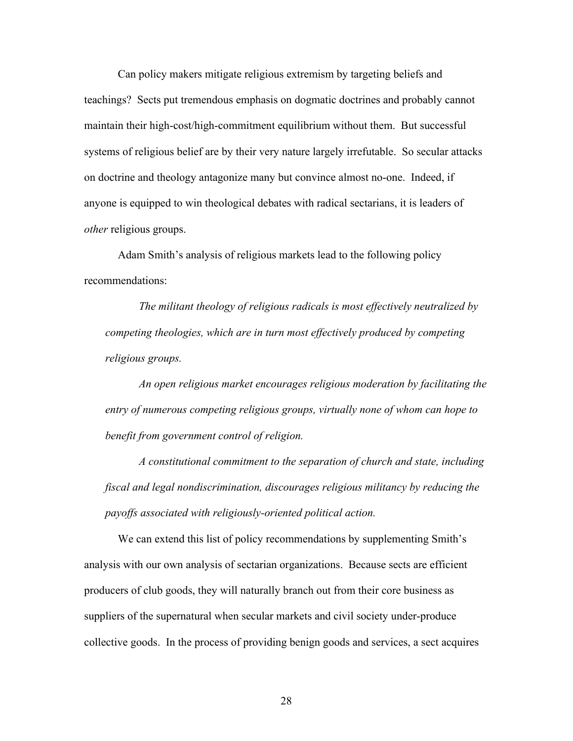Can policy makers mitigate religious extremism by targeting beliefs and teachings? Sects put tremendous emphasis on dogmatic doctrines and probably cannot maintain their high-cost/high-commitment equilibrium without them. But successful systems of religious belief are by their very nature largely irrefutable. So secular attacks on doctrine and theology antagonize many but convince almost no-one. Indeed, if anyone is equipped to win theological debates with radical sectarians, it is leaders of *other* religious groups.

Adam Smith's analysis of religious markets lead to the following policy recommendations:

*The militant theology of religious radicals is most effectively neutralized by competing theologies, which are in turn most effectively produced by competing religious groups.* 

*An open religious market encourages religious moderation by facilitating the entry of numerous competing religious groups, virtually none of whom can hope to benefit from government control of religion.* 

*A constitutional commitment to the separation of church and state, including fiscal and legal nondiscrimination, discourages religious militancy by reducing the payoffs associated with religiously-oriented political action.* 

We can extend this list of policy recommendations by supplementing Smith's analysis with our own analysis of sectarian organizations. Because sects are efficient producers of club goods, they will naturally branch out from their core business as suppliers of the supernatural when secular markets and civil society under-produce collective goods. In the process of providing benign goods and services, a sect acquires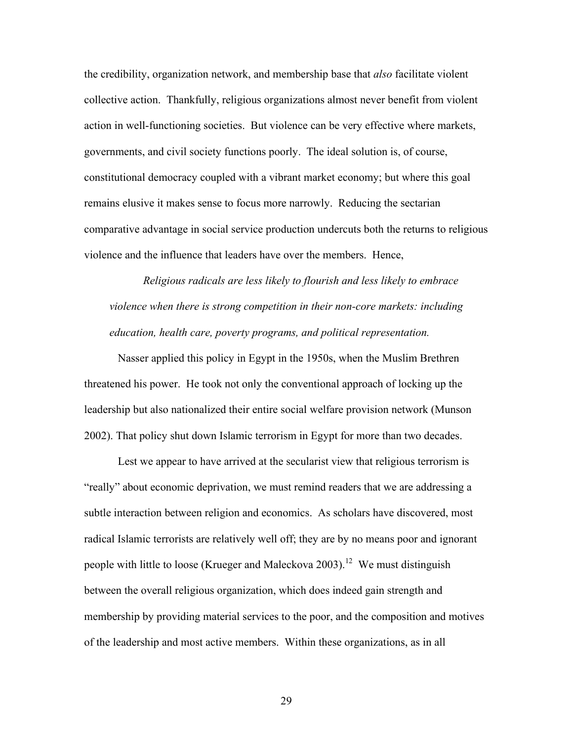the credibility, organization network, and membership base that *also* facilitate violent collective action. Thankfully, religious organizations almost never benefit from violent action in well-functioning societies. But violence can be very effective where markets, governments, and civil society functions poorly. The ideal solution is, of course, constitutional democracy coupled with a vibrant market economy; but where this goal remains elusive it makes sense to focus more narrowly. Reducing the sectarian comparative advantage in social service production undercuts both the returns to religious violence and the influence that leaders have over the members. Hence,

*Religious radicals are less likely to flourish and less likely to embrace violence when there is strong competition in their non-core markets: including education, health care, poverty programs, and political representation.* 

Nasser applied this policy in Egypt in the 1950s, when the Muslim Brethren threatened his power. He took not only the conventional approach of locking up the leadership but also nationalized their entire social welfare provision network (Munson 2002). That policy shut down Islamic terrorism in Egypt for more than two decades.

Lest we appear to have arrived at the secularist view that religious terrorism is "really" about economic deprivation, we must remind readers that we are addressing a subtle interaction between religion and economics. As scholars have discovered, most radical Islamic terrorists are relatively well off; they are by no means poor and ignorant people with little to loose (Krueger and Maleckova 2003).<sup>12</sup> We must distinguish between the overall religious organization, which does indeed gain strength and membership by providing material services to the poor, and the composition and motives of the leadership and most active members. Within these organizations, as in all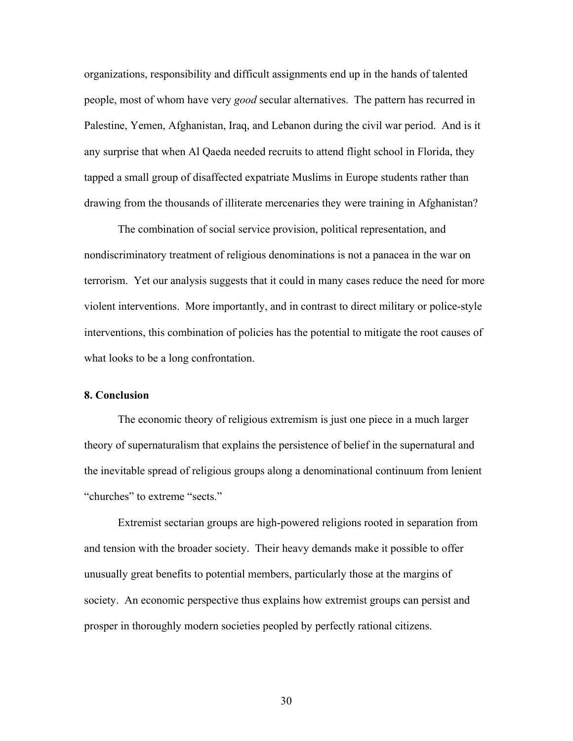organizations, responsibility and difficult assignments end up in the hands of talented people, most of whom have very *good* secular alternatives. The pattern has recurred in Palestine, Yemen, Afghanistan, Iraq, and Lebanon during the civil war period. And is it any surprise that when Al Qaeda needed recruits to attend flight school in Florida, they tapped a small group of disaffected expatriate Muslims in Europe students rather than drawing from the thousands of illiterate mercenaries they were training in Afghanistan?

The combination of social service provision, political representation, and nondiscriminatory treatment of religious denominations is not a panacea in the war on terrorism. Yet our analysis suggests that it could in many cases reduce the need for more violent interventions. More importantly, and in contrast to direct military or police-style interventions, this combination of policies has the potential to mitigate the root causes of what looks to be a long confrontation.

#### **8. Conclusion**

The economic theory of religious extremism is just one piece in a much larger theory of supernaturalism that explains the persistence of belief in the supernatural and the inevitable spread of religious groups along a denominational continuum from lenient "churches" to extreme "sects."

Extremist sectarian groups are high-powered religions rooted in separation from and tension with the broader society. Their heavy demands make it possible to offer unusually great benefits to potential members, particularly those at the margins of society. An economic perspective thus explains how extremist groups can persist and prosper in thoroughly modern societies peopled by perfectly rational citizens.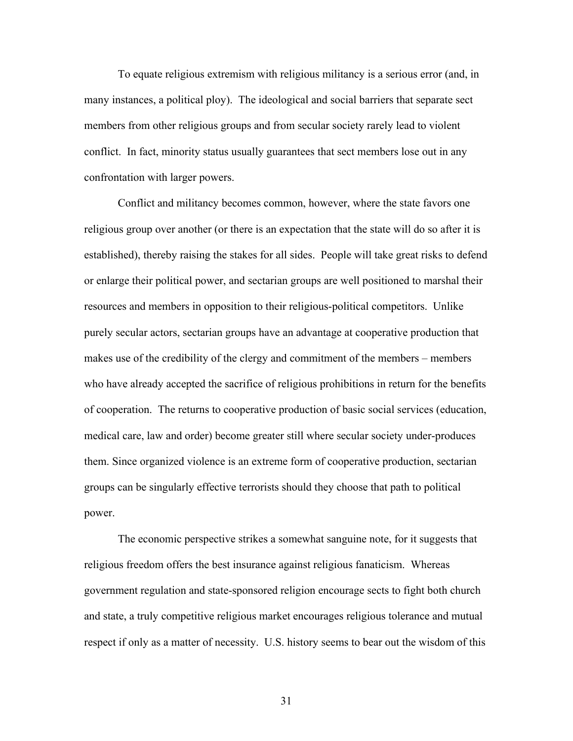To equate religious extremism with religious militancy is a serious error (and, in many instances, a political ploy). The ideological and social barriers that separate sect members from other religious groups and from secular society rarely lead to violent conflict. In fact, minority status usually guarantees that sect members lose out in any confrontation with larger powers.

Conflict and militancy becomes common, however, where the state favors one religious group over another (or there is an expectation that the state will do so after it is established), thereby raising the stakes for all sides. People will take great risks to defend or enlarge their political power, and sectarian groups are well positioned to marshal their resources and members in opposition to their religious-political competitors. Unlike purely secular actors, sectarian groups have an advantage at cooperative production that makes use of the credibility of the clergy and commitment of the members – members who have already accepted the sacrifice of religious prohibitions in return for the benefits of cooperation. The returns to cooperative production of basic social services (education, medical care, law and order) become greater still where secular society under-produces them. Since organized violence is an extreme form of cooperative production, sectarian groups can be singularly effective terrorists should they choose that path to political power.

 The economic perspective strikes a somewhat sanguine note, for it suggests that religious freedom offers the best insurance against religious fanaticism. Whereas government regulation and state-sponsored religion encourage sects to fight both church and state, a truly competitive religious market encourages religious tolerance and mutual respect if only as a matter of necessity. U.S. history seems to bear out the wisdom of this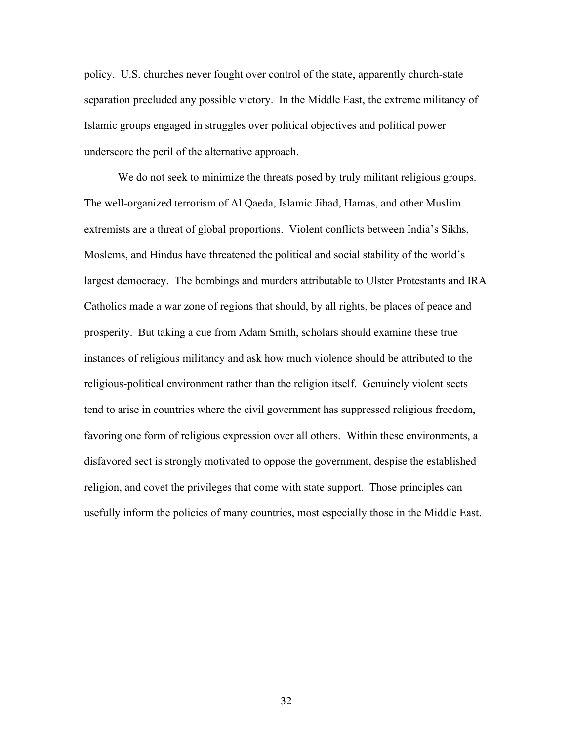policy. U.S. churches never fought over control of the state, apparently church-state separation precluded any possible victory. In the Middle East, the extreme militancy of Islamic groups engaged in struggles over political objectives and political power underscore the peril of the alternative approach.

We do not seek to minimize the threats posed by truly militant religious groups. The well-organized terrorism of Al Qaeda, Islamic Jihad, Hamas, and other Muslim extremists are a threat of global proportions. Violent conflicts between India's Sikhs, Moslems, and Hindus have threatened the political and social stability of the world's largest democracy. The bombings and murders attributable to Ulster Protestants and IRA Catholics made a war zone of regions that should, by all rights, be places of peace and prosperity. But taking a cue from Adam Smith, scholars should examine these true instances of religious militancy and ask how much violence should be attributed to the religious-political environment rather than the religion itself. Genuinely violent sects tend to arise in countries where the civil government has suppressed religious freedom, favoring one form of religious expression over all others. Within these environments, a disfavored sect is strongly motivated to oppose the government, despise the established religion, and covet the privileges that come with state support. Those principles can usefully inform the policies of many countries, most especially those in the Middle East.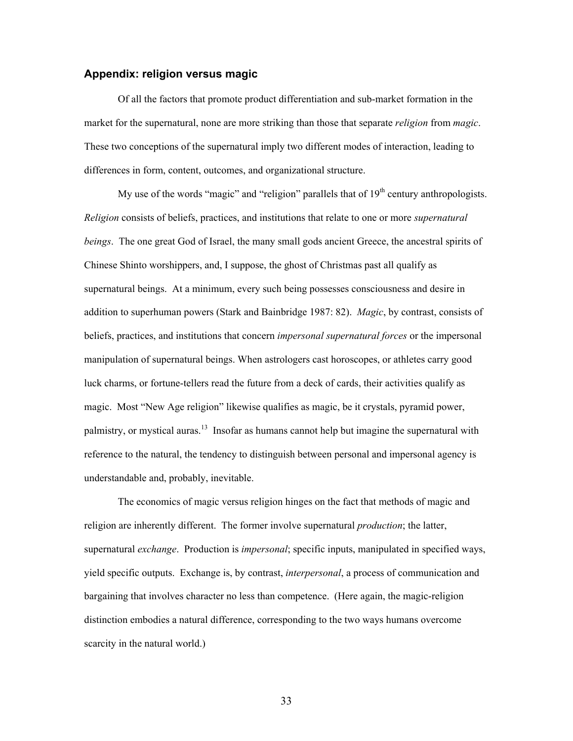#### **Appendix: religion versus magic**

Of all the factors that promote product differentiation and sub-market formation in the market for the supernatural, none are more striking than those that separate *religion* from *magic*. These two conceptions of the supernatural imply two different modes of interaction, leading to differences in form, content, outcomes, and organizational structure.

My use of the words "magic" and "religion" parallels that of  $19<sup>th</sup>$  century anthropologists. *Religion* consists of beliefs, practices, and institutions that relate to one or more *supernatural beings*. The one great God of Israel, the many small gods ancient Greece, the ancestral spirits of Chinese Shinto worshippers, and, I suppose, the ghost of Christmas past all qualify as supernatural beings. At a minimum, every such being possesses consciousness and desire in addition to superhuman powers (Stark and Bainbridge 1987: 82). *Magic*, by contrast, consists of beliefs, practices, and institutions that concern *impersonal supernatural forces* or the impersonal manipulation of supernatural beings. When astrologers cast horoscopes, or athletes carry good luck charms, or fortune-tellers read the future from a deck of cards, their activities qualify as magic. Most "New Age religion" likewise qualifies as magic, be it crystals, pyramid power, palmistry, or mystical auras.<sup>13</sup> Insofar as humans cannot help but imagine the supernatural with reference to the natural, the tendency to distinguish between personal and impersonal agency is understandable and, probably, inevitable.

The economics of magic versus religion hinges on the fact that methods of magic and religion are inherently different. The former involve supernatural *production*; the latter, supernatural *exchange*. Production is *impersonal*; specific inputs, manipulated in specified ways, yield specific outputs. Exchange is, by contrast, *interpersonal*, a process of communication and bargaining that involves character no less than competence. (Here again, the magic-religion distinction embodies a natural difference, corresponding to the two ways humans overcome scarcity in the natural world.)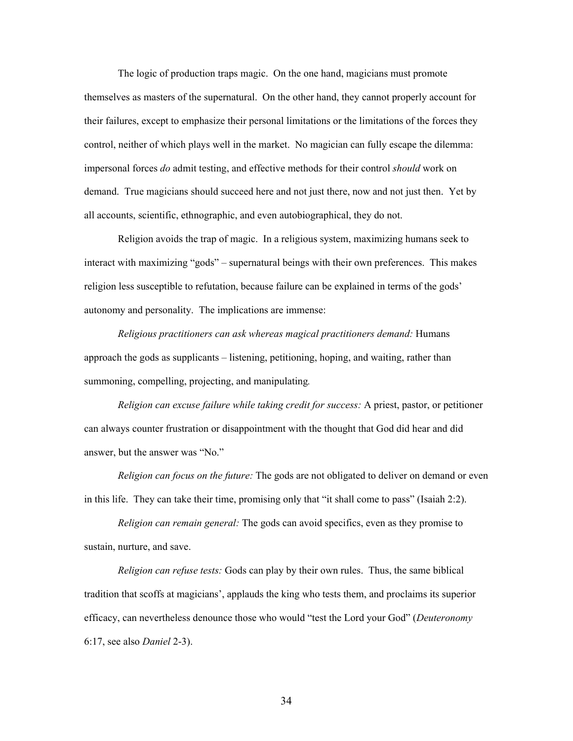The logic of production traps magic. On the one hand, magicians must promote themselves as masters of the supernatural. On the other hand, they cannot properly account for their failures, except to emphasize their personal limitations or the limitations of the forces they control, neither of which plays well in the market. No magician can fully escape the dilemma: impersonal forces *do* admit testing, and effective methods for their control *should* work on demand. True magicians should succeed here and not just there, now and not just then. Yet by all accounts, scientific, ethnographic, and even autobiographical, they do not.

Religion avoids the trap of magic. In a religious system, maximizing humans seek to interact with maximizing "gods" – supernatural beings with their own preferences. This makes religion less susceptible to refutation, because failure can be explained in terms of the gods' autonomy and personality. The implications are immense:

*Religious practitioners can ask whereas magical practitioners demand:* Humans approach the gods as supplicants – listening, petitioning, hoping, and waiting, rather than summoning, compelling, projecting, and manipulating*.*

*Religion can excuse failure while taking credit for success:* A priest, pastor, or petitioner can always counter frustration or disappointment with the thought that God did hear and did answer, but the answer was "No."

*Religion can focus on the future:* The gods are not obligated to deliver on demand or even in this life. They can take their time, promising only that "it shall come to pass" (Isaiah 2:2).

*Religion can remain general:* The gods can avoid specifics, even as they promise to sustain, nurture, and save.

*Religion can refuse tests:* Gods can play by their own rules. Thus, the same biblical tradition that scoffs at magicians', applauds the king who tests them, and proclaims its superior efficacy, can nevertheless denounce those who would "test the Lord your God" (*Deuteronomy* 6:17, see also *Daniel* 2-3).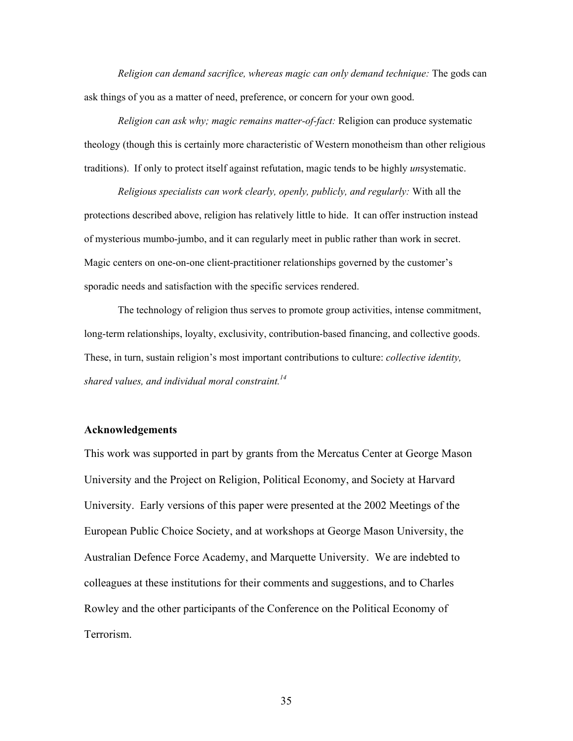*Religion can demand sacrifice, whereas magic can only demand technique:* The gods can ask things of you as a matter of need, preference, or concern for your own good.

*Religion can ask why; magic remains matter-of-fact:* Religion can produce systematic theology (though this is certainly more characteristic of Western monotheism than other religious traditions). If only to protect itself against refutation, magic tends to be highly *un*systematic.

*Religious specialists can work clearly, openly, publicly, and regularly:* With all the protections described above, religion has relatively little to hide. It can offer instruction instead of mysterious mumbo-jumbo, and it can regularly meet in public rather than work in secret. Magic centers on one-on-one client-practitioner relationships governed by the customer's sporadic needs and satisfaction with the specific services rendered.

The technology of religion thus serves to promote group activities, intense commitment, long-term relationships, loyalty, exclusivity, contribution-based financing, and collective goods. These, in turn, sustain religion's most important contributions to culture: *collective identity, shared values, and individual moral constraint.14*

#### **Acknowledgements**

This work was supported in part by grants from the Mercatus Center at George Mason University and the Project on Religion, Political Economy, and Society at Harvard University. Early versions of this paper were presented at the 2002 Meetings of the European Public Choice Society, and at workshops at George Mason University, the Australian Defence Force Academy, and Marquette University. We are indebted to colleagues at these institutions for their comments and suggestions, and to Charles Rowley and the other participants of the Conference on the Political Economy of Terrorism.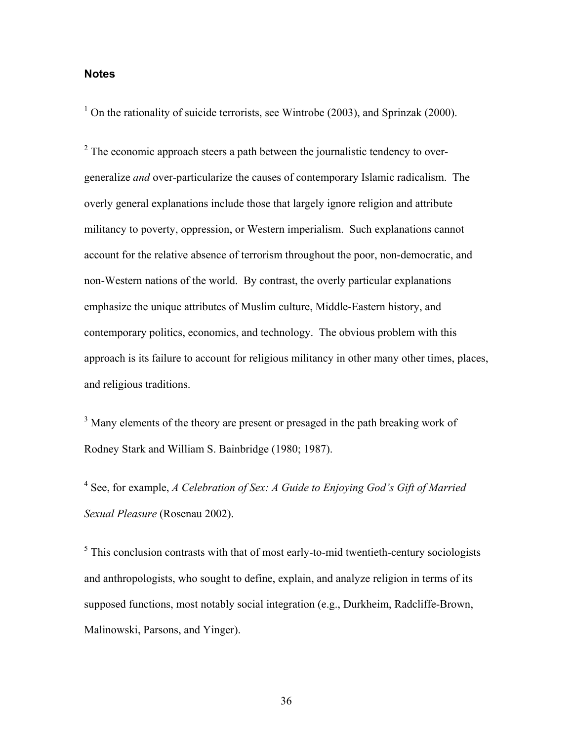# **Notes**

<sup>1</sup> On the rationality of suicide terrorists, see Wintrobe (2003), and Sprinzak (2000).

 $2<sup>2</sup>$  The economic approach steers a path between the journalistic tendency to overgeneralize *and* over-particularize the causes of contemporary Islamic radicalism. The overly general explanations include those that largely ignore religion and attribute militancy to poverty, oppression, or Western imperialism. Such explanations cannot account for the relative absence of terrorism throughout the poor, non-democratic, and non-Western nations of the world. By contrast, the overly particular explanations emphasize the unique attributes of Muslim culture, Middle-Eastern history, and contemporary politics, economics, and technology. The obvious problem with this approach is its failure to account for religious militancy in other many other times, places, and religious traditions.

<sup>3</sup> Many elements of the theory are present or presaged in the path breaking work of Rodney Stark and William S. Bainbridge (1980; 1987).

4 See, for example, *A Celebration of Sex: A Guide to Enjoying God's Gift of Married Sexual Pleasure* (Rosenau 2002).

 $<sup>5</sup>$  This conclusion contrasts with that of most early-to-mid twentieth-century sociologists</sup> and anthropologists, who sought to define, explain, and analyze religion in terms of its supposed functions, most notably social integration (e.g., Durkheim, Radcliffe-Brown, Malinowski, Parsons, and Yinger).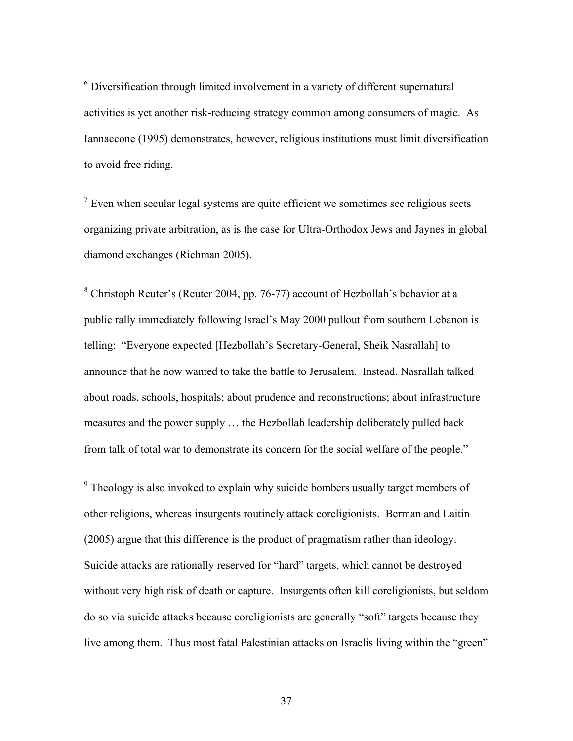<sup>6</sup> Diversification through limited involvement in a variety of different supernatural activities is yet another risk-reducing strategy common among consumers of magic. As Iannaccone (1995) demonstrates, however, religious institutions must limit diversification to avoid free riding.

 $7$  Even when secular legal systems are quite efficient we sometimes see religious sects organizing private arbitration, as is the case for Ultra-Orthodox Jews and Jaynes in global diamond exchanges (Richman 2005).

<sup>8</sup> Christoph Reuter's (Reuter 2004, pp. 76-77) account of Hezbollah's behavior at a public rally immediately following Israel's May 2000 pullout from southern Lebanon is telling: "Everyone expected [Hezbollah's Secretary-General, Sheik Nasrallah] to announce that he now wanted to take the battle to Jerusalem. Instead, Nasrallah talked about roads, schools, hospitals; about prudence and reconstructions; about infrastructure measures and the power supply … the Hezbollah leadership deliberately pulled back from talk of total war to demonstrate its concern for the social welfare of the people."

<sup>9</sup> Theology is also invoked to explain why suicide bombers usually target members of other religions, whereas insurgents routinely attack coreligionists. Berman and Laitin (2005) argue that this difference is the product of pragmatism rather than ideology. Suicide attacks are rationally reserved for "hard" targets, which cannot be destroyed without very high risk of death or capture. Insurgents often kill coreligionists, but seldom do so via suicide attacks because coreligionists are generally "soft" targets because they live among them. Thus most fatal Palestinian attacks on Israelis living within the "green"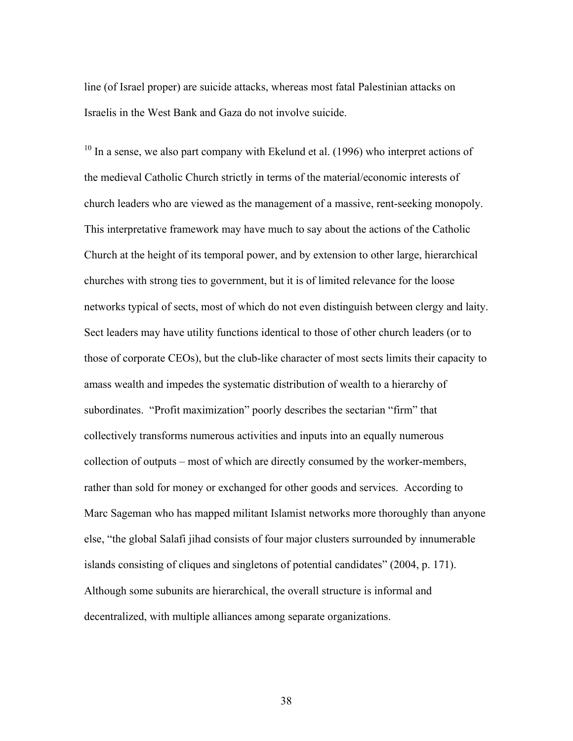line (of Israel proper) are suicide attacks, whereas most fatal Palestinian attacks on Israelis in the West Bank and Gaza do not involve suicide.

 $10$  In a sense, we also part company with Ekelund et al. (1996) who interpret actions of the medieval Catholic Church strictly in terms of the material/economic interests of church leaders who are viewed as the management of a massive, rent-seeking monopoly. This interpretative framework may have much to say about the actions of the Catholic Church at the height of its temporal power, and by extension to other large, hierarchical churches with strong ties to government, but it is of limited relevance for the loose networks typical of sects, most of which do not even distinguish between clergy and laity. Sect leaders may have utility functions identical to those of other church leaders (or to those of corporate CEOs), but the club-like character of most sects limits their capacity to amass wealth and impedes the systematic distribution of wealth to a hierarchy of subordinates. "Profit maximization" poorly describes the sectarian "firm" that collectively transforms numerous activities and inputs into an equally numerous collection of outputs – most of which are directly consumed by the worker-members, rather than sold for money or exchanged for other goods and services. According to Marc Sageman who has mapped militant Islamist networks more thoroughly than anyone else, "the global Salafi jihad consists of four major clusters surrounded by innumerable islands consisting of cliques and singletons of potential candidates" (2004, p. 171). Although some subunits are hierarchical, the overall structure is informal and decentralized, with multiple alliances among separate organizations.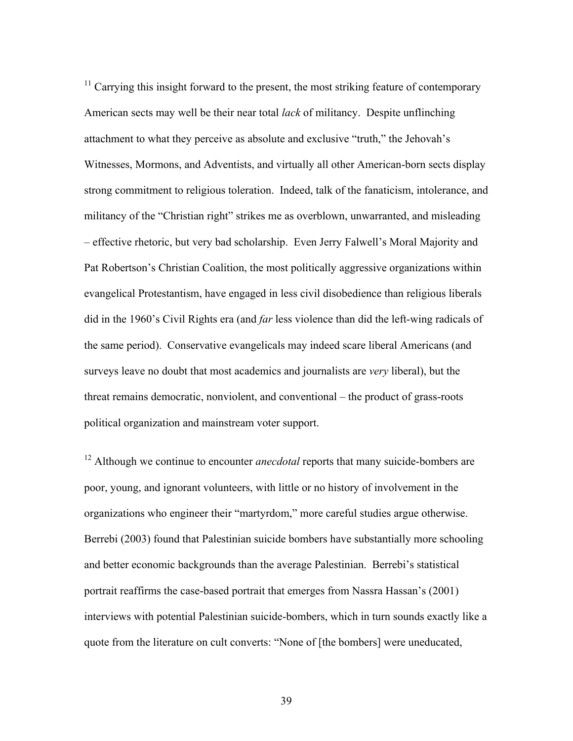$11$  Carrying this insight forward to the present, the most striking feature of contemporary American sects may well be their near total *lack* of militancy. Despite unflinching attachment to what they perceive as absolute and exclusive "truth," the Jehovah's Witnesses, Mormons, and Adventists, and virtually all other American-born sects display strong commitment to religious toleration. Indeed, talk of the fanaticism, intolerance, and militancy of the "Christian right" strikes me as overblown, unwarranted, and misleading – effective rhetoric, but very bad scholarship. Even Jerry Falwell's Moral Majority and Pat Robertson's Christian Coalition, the most politically aggressive organizations within evangelical Protestantism, have engaged in less civil disobedience than religious liberals did in the 1960's Civil Rights era (and *far* less violence than did the left-wing radicals of the same period). Conservative evangelicals may indeed scare liberal Americans (and surveys leave no doubt that most academics and journalists are *very* liberal), but the threat remains democratic, nonviolent, and conventional – the product of grass-roots political organization and mainstream voter support.

<sup>12</sup> Although we continue to encounter *anecdotal* reports that many suicide-bombers are poor, young, and ignorant volunteers, with little or no history of involvement in the organizations who engineer their "martyrdom," more careful studies argue otherwise. Berrebi (2003) found that Palestinian suicide bombers have substantially more schooling and better economic backgrounds than the average Palestinian. Berrebi's statistical portrait reaffirms the case-based portrait that emerges from Nassra Hassan's (2001) interviews with potential Palestinian suicide-bombers, which in turn sounds exactly like a quote from the literature on cult converts: "None of [the bombers] were uneducated,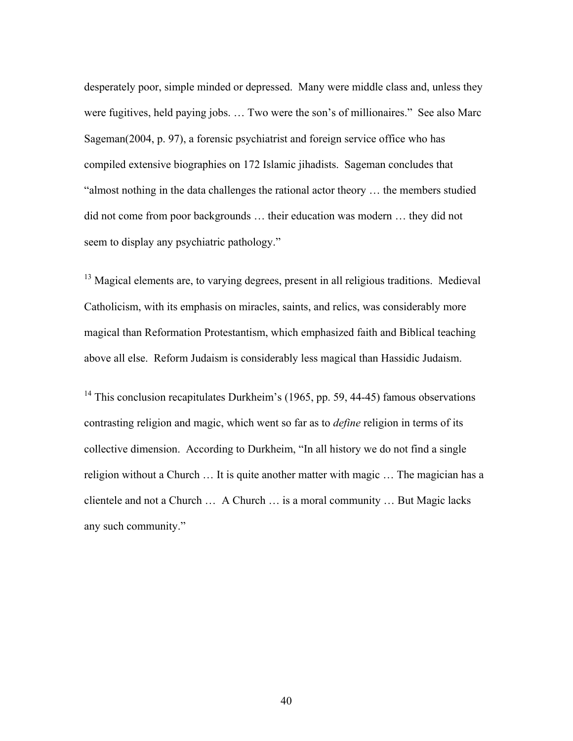desperately poor, simple minded or depressed. Many were middle class and, unless they were fugitives, held paying jobs. … Two were the son's of millionaires." See also Marc Sageman(2004, p. 97), a forensic psychiatrist and foreign service office who has compiled extensive biographies on 172 Islamic jihadists. Sageman concludes that "almost nothing in the data challenges the rational actor theory … the members studied did not come from poor backgrounds … their education was modern … they did not seem to display any psychiatric pathology."

<sup>13</sup> Magical elements are, to varying degrees, present in all religious traditions. Medieval Catholicism, with its emphasis on miracles, saints, and relics, was considerably more magical than Reformation Protestantism, which emphasized faith and Biblical teaching above all else. Reform Judaism is considerably less magical than Hassidic Judaism.

<sup>14</sup> This conclusion recapitulates Durkheim's (1965, pp. 59, 44-45) famous observations contrasting religion and magic, which went so far as to *define* religion in terms of its collective dimension. According to Durkheim, "In all history we do not find a single religion without a Church … It is quite another matter with magic … The magician has a clientele and not a Church … A Church … is a moral community … But Magic lacks any such community."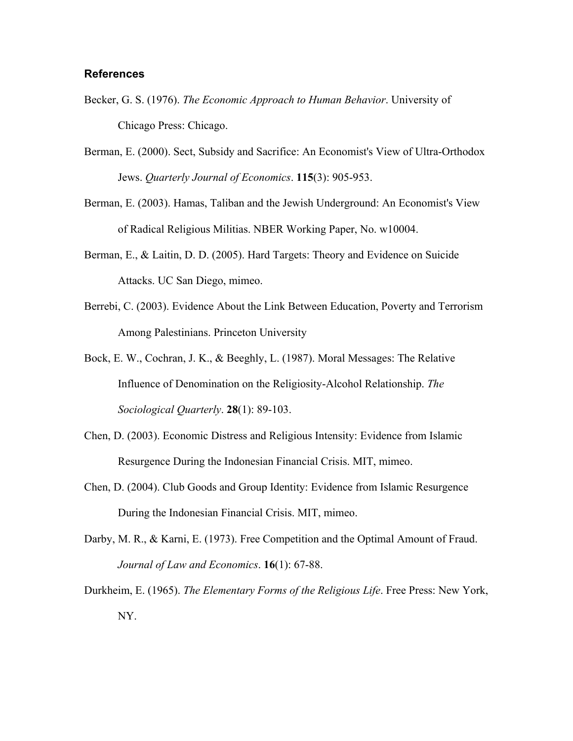## **References**

- Becker, G. S. (1976). *The Economic Approach to Human Behavior*. University of Chicago Press: Chicago.
- Berman, E. (2000). Sect, Subsidy and Sacrifice: An Economist's View of Ultra-Orthodox Jews. *Quarterly Journal of Economics*. **115**(3): 905-953.
- Berman, E. (2003). Hamas, Taliban and the Jewish Underground: An Economist's View of Radical Religious Militias. NBER Working Paper, No. w10004.
- Berman, E., & Laitin, D. D. (2005). Hard Targets: Theory and Evidence on Suicide Attacks. UC San Diego, mimeo.
- Berrebi, C. (2003). Evidence About the Link Between Education, Poverty and Terrorism Among Palestinians. Princeton University
- Bock, E. W., Cochran, J. K., & Beeghly, L. (1987). Moral Messages: The Relative Influence of Denomination on the Religiosity-Alcohol Relationship. *The Sociological Quarterly*. **28**(1): 89-103.
- Chen, D. (2003). Economic Distress and Religious Intensity: Evidence from Islamic Resurgence During the Indonesian Financial Crisis. MIT, mimeo.
- Chen, D. (2004). Club Goods and Group Identity: Evidence from Islamic Resurgence During the Indonesian Financial Crisis. MIT, mimeo.
- Darby, M. R., & Karni, E. (1973). Free Competition and the Optimal Amount of Fraud. *Journal of Law and Economics*. **16**(1): 67-88.
- Durkheim, E. (1965). *The Elementary Forms of the Religious Life*. Free Press: New York, NY.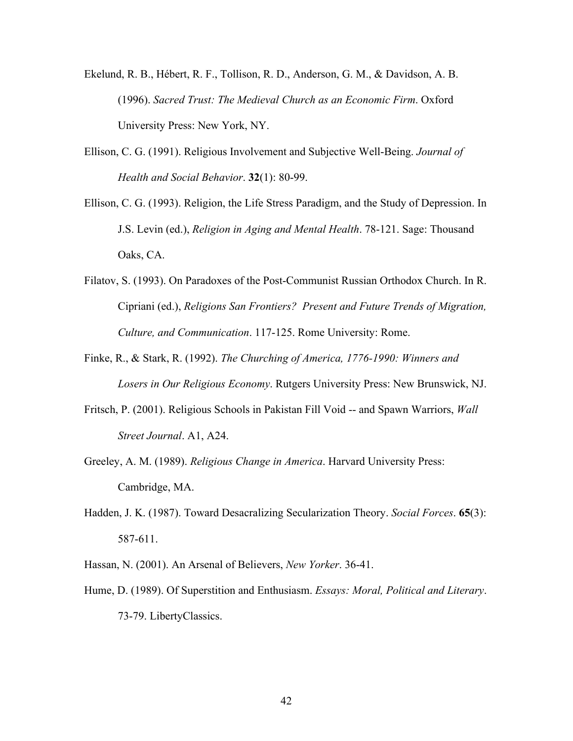- Ekelund, R. B., Hébert, R. F., Tollison, R. D., Anderson, G. M., & Davidson, A. B. (1996). *Sacred Trust: The Medieval Church as an Economic Firm*. Oxford University Press: New York, NY.
- Ellison, C. G. (1991). Religious Involvement and Subjective Well-Being. *Journal of Health and Social Behavior*. **32**(1): 80-99.
- Ellison, C. G. (1993). Religion, the Life Stress Paradigm, and the Study of Depression. In J.S. Levin (ed.), *Religion in Aging and Mental Health*. 78-121. Sage: Thousand Oaks, CA.
- Filatov, S. (1993). On Paradoxes of the Post-Communist Russian Orthodox Church. In R. Cipriani (ed.), *Religions San Frontiers? Present and Future Trends of Migration, Culture, and Communication*. 117-125. Rome University: Rome.
- Finke, R., & Stark, R. (1992). *The Churching of America, 1776-1990: Winners and Losers in Our Religious Economy*. Rutgers University Press: New Brunswick, NJ.
- Fritsch, P. (2001). Religious Schools in Pakistan Fill Void -- and Spawn Warriors, *Wall Street Journal*. A1, A24.
- Greeley, A. M. (1989). *Religious Change in America*. Harvard University Press: Cambridge, MA.
- Hadden, J. K. (1987). Toward Desacralizing Secularization Theory. *Social Forces*. **65**(3): 587-611.
- Hassan, N. (2001). An Arsenal of Believers, *New Yorker*. 36-41.
- Hume, D. (1989). Of Superstition and Enthusiasm. *Essays: Moral, Political and Literary*. 73-79. LibertyClassics.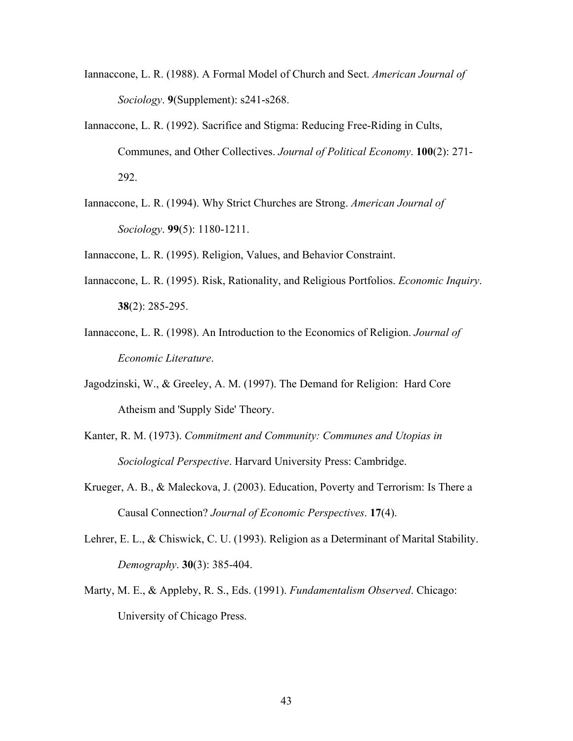- Iannaccone, L. R. (1988). A Formal Model of Church and Sect. *American Journal of Sociology*. **9**(Supplement): s241-s268.
- Iannaccone, L. R. (1992). Sacrifice and Stigma: Reducing Free-Riding in Cults, Communes, and Other Collectives. *Journal of Political Economy*. **100**(2): 271- 292.
- Iannaccone, L. R. (1994). Why Strict Churches are Strong. *American Journal of Sociology*. **99**(5): 1180-1211.

Iannaccone, L. R. (1995). Religion, Values, and Behavior Constraint.

- Iannaccone, L. R. (1995). Risk, Rationality, and Religious Portfolios. *Economic Inquiry*. **38**(2): 285-295.
- Iannaccone, L. R. (1998). An Introduction to the Economics of Religion. *Journal of Economic Literature*.
- Jagodzinski, W., & Greeley, A. M. (1997). The Demand for Religion: Hard Core Atheism and 'Supply Side' Theory.
- Kanter, R. M. (1973). *Commitment and Community: Communes and Utopias in Sociological Perspective*. Harvard University Press: Cambridge.
- Krueger, A. B., & Maleckova, J. (2003). Education, Poverty and Terrorism: Is There a Causal Connection? *Journal of Economic Perspectives*. **17**(4).
- Lehrer, E. L., & Chiswick, C. U. (1993). Religion as a Determinant of Marital Stability. *Demography*. **30**(3): 385-404.
- Marty, M. E., & Appleby, R. S., Eds. (1991). *Fundamentalism Observed*. Chicago: University of Chicago Press.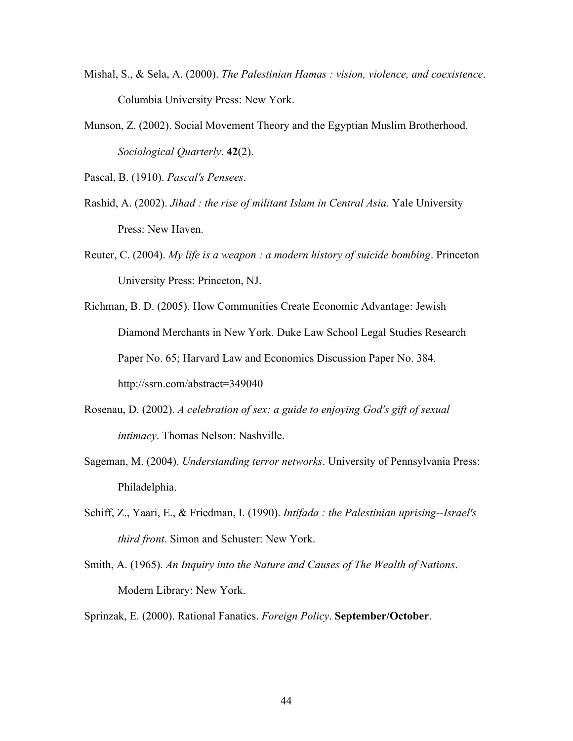- Mishal, S., & Sela, A. (2000). *The Palestinian Hamas : vision, violence, and coexistence*. Columbia University Press: New York.
- Munson, Z. (2002). Social Movement Theory and the Egyptian Muslim Brotherhood. *Sociological Quarterly*. **42**(2).

Pascal, B. (1910). *Pascal's Pensees*.

- Rashid, A. (2002). *Jihad : the rise of militant Islam in Central Asia*. Yale University Press: New Haven.
- Reuter, C. (2004). *My life is a weapon : a modern history of suicide bombing*. Princeton University Press: Princeton, NJ.
- Richman, B. D. (2005). How Communities Create Economic Advantage: Jewish Diamond Merchants in New York. Duke Law School Legal Studies Research Paper No. 65; Harvard Law and Economics Discussion Paper No. 384. http://ssrn.com/abstract=349040
- Rosenau, D. (2002). *A celebration of sex: a guide to enjoying God's gift of sexual intimacy*. Thomas Nelson: Nashville.
- Sageman, M. (2004). *Understanding terror networks*. University of Pennsylvania Press: Philadelphia.
- Schiff, Z., Yaari, E., & Friedman, I. (1990). *Intifada : the Palestinian uprising--Israel's third front*. Simon and Schuster: New York.
- Smith, A. (1965). *An Inquiry into the Nature and Causes of The Wealth of Nations*. Modern Library: New York.
- Sprinzak, E. (2000). Rational Fanatics. *Foreign Policy*. **September/October**.